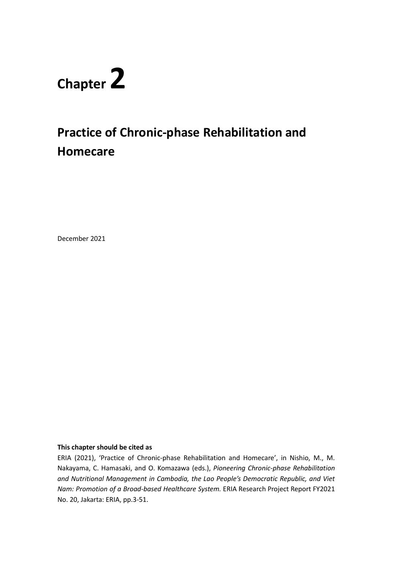# **Chapter 2**

# **Practice of Chronic-phase Rehabilitation and Homecare**

December 2021

#### **This chapter should be cited as**

ERIA (2021), 'Practice of Chronic-phase Rehabilitation and Homecare', in Nishio, M., M. Nakayama, C. Hamasaki, and O. Komazawa (eds.), *Pioneering Chronic-phase Rehabilitation and Nutritional Management in Cambodia, the Lao People's Democratic Republic, and Viet Nam: Promotion of a Broad-based Healthcare System.* ERIA Research Project Report FY2021 No. 20, Jakarta: ERIA, pp.3-51.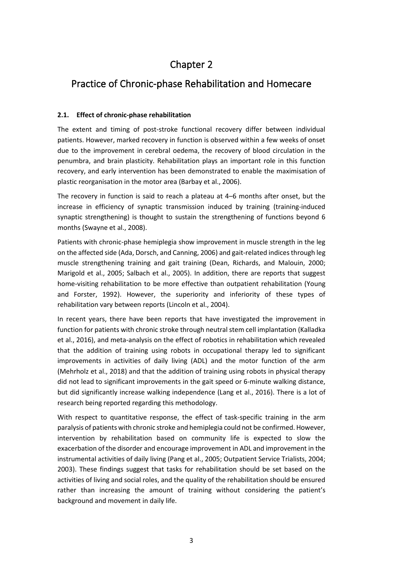## Chapter 2

### Practice of Chronic-phase Rehabilitation and Homecare

#### **2.1. Effect of chronic-phase rehabilitation**

The extent and timing of post-stroke functional recovery differ between individual patients. However, marked recovery in function is observed within a few weeks of onset due to the improvement in cerebral oedema, the recovery of blood circulation in the penumbra, and brain plasticity. Rehabilitation plays an important role in this function recovery, and early intervention has been demonstrated to enable the maximisation of plastic reorganisation in the motor area (Barbay et al., 2006).

The recovery in function is said to reach a plateau at 4–6 months after onset, but the increase in efficiency of synaptic transmission induced by training (training-induced synaptic strengthening) is thought to sustain the strengthening of functions beyond 6 months (Swayne et al., 2008).

Patients with chronic-phase hemiplegia show improvement in muscle strength in the leg on the affected side (Ada, Dorsch, and Canning, 2006) and gait-related indices through leg muscle strengthening training and gait training (Dean, Richards, and Malouin, 2000; Marigold et al., 2005; Salbach et al., 2005). In addition, there are reports that suggest home-visiting rehabilitation to be more effective than outpatient rehabilitation (Young and Forster, 1992). However, the superiority and inferiority of these types of rehabilitation vary between reports (Lincoln et al., 2004).

In recent years, there have been reports that have investigated the improvement in function for patients with chronic stroke through neutral stem cell implantation (Kalladka et al., 2016), and meta-analysis on the effect of robotics in rehabilitation which revealed that the addition of training using robots in occupational therapy led to significant improvements in activities of daily living (ADL) and the motor function of the arm (Mehrholz et al., 2018) and that the addition of training using robots in physical therapy did not lead to significant improvements in the gait speed or 6-minute walking distance, but did significantly increase walking independence (Lang et al., 2016). There is a lot of research being reported regarding this methodology.

With respect to quantitative response, the effect of task-specific training in the arm paralysis of patients with chronic stroke and hemiplegia could not be confirmed. However, intervention by rehabilitation based on community life is expected to slow the exacerbation of the disorder and encourage improvement in ADL and improvement in the instrumental activities of daily living (Pang et al., 2005; Outpatient Service Trialists, 2004; 2003). These findings suggest that tasks for rehabilitation should be set based on the activities of living and social roles, and the quality of the rehabilitation should be ensured rather than increasing the amount of training without considering the patient's background and movement in daily life.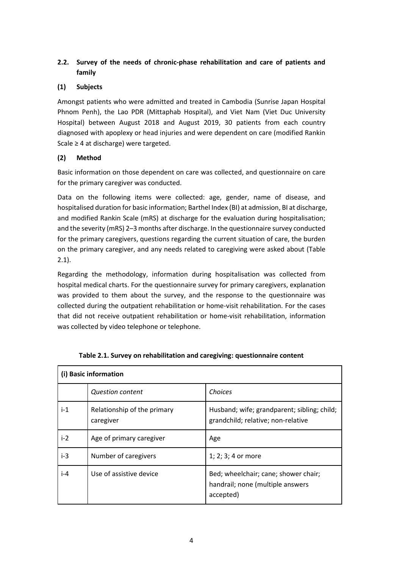#### **2.2. Survey of the needs of chronic-phase rehabilitation and care of patients and family**

#### **(1) Subjects**

Amongst patients who were admitted and treated in Cambodia (Sunrise Japan Hospital Phnom Penh), the Lao PDR (Mittaphab Hospital), and Viet Nam (Viet Duc University Hospital) between August 2018 and August 2019, 30 patients from each country diagnosed with apoplexy or head injuries and were dependent on care (modified Rankin Scale ≥ 4 at discharge) were targeted.

#### **(2) Method**

Basic information on those dependent on care was collected, and questionnaire on care for the primary caregiver was conducted.

Data on the following items were collected: age, gender, name of disease, and hospitalised duration for basic information; Barthel Index (BI) at admission, BI at discharge, and modified Rankin Scale (mRS) at discharge for the evaluation during hospitalisation; and the severity (mRS) 2–3 months after discharge. In the questionnaire survey conducted for the primary caregivers, questions regarding the current situation of care, the burden on the primary caregiver, and any needs related to caregiving were asked about (Table 2.1).

Regarding the methodology, information during hospitalisation was collected from hospital medical charts. For the questionnaire survey for primary caregivers, explanation was provided to them about the survey, and the response to the questionnaire was collected during the outpatient rehabilitation or home-visit rehabilitation. For the cases that did not receive outpatient rehabilitation or home-visit rehabilitation, information was collected by video telephone or telephone.

|       | (i) Basic information                    |                                                                                       |  |  |  |
|-------|------------------------------------------|---------------------------------------------------------------------------------------|--|--|--|
|       | <b>Question content</b>                  | Choices                                                                               |  |  |  |
| $i-1$ | Relationship of the primary<br>caregiver | Husband; wife; grandparent; sibling; child;<br>grandchild; relative; non-relative     |  |  |  |
| $i-2$ | Age of primary caregiver                 | Age                                                                                   |  |  |  |
| $i-3$ | Number of caregivers                     | 1; 2; 3; 4 or more                                                                    |  |  |  |
| $i-4$ | Use of assistive device                  | Bed; wheelchair; cane; shower chair;<br>handrail; none (multiple answers<br>accepted) |  |  |  |

|  | Table 2.1. Survey on rehabilitation and caregiving: questionnaire content |
|--|---------------------------------------------------------------------------|
|  |                                                                           |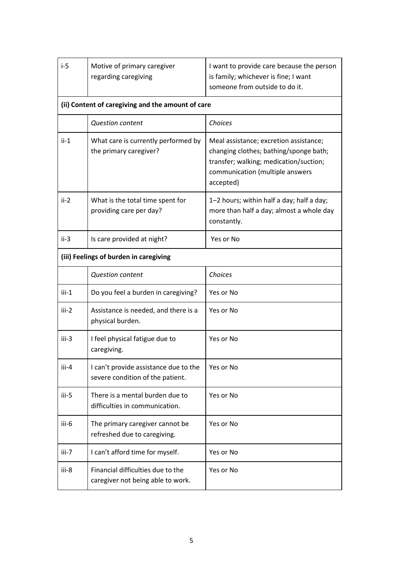| $i-5$   | Motive of primary caregiver<br>regarding caregiving                       | I want to provide care because the person<br>is family; whichever is fine; I want<br>someone from outside to do it.                                                        |
|---------|---------------------------------------------------------------------------|----------------------------------------------------------------------------------------------------------------------------------------------------------------------------|
|         | (ii) Content of caregiving and the amount of care                         |                                                                                                                                                                            |
|         | <b>Question content</b>                                                   | Choices                                                                                                                                                                    |
| $ii-1$  | What care is currently performed by<br>the primary caregiver?             | Meal assistance; excretion assistance;<br>changing clothes; bathing/sponge bath;<br>transfer; walking; medication/suction;<br>communication (multiple answers<br>accepted) |
| $ii-2$  | What is the total time spent for<br>providing care per day?               | 1–2 hours; within half a day; half a day;<br>more than half a day; almost a whole day<br>constantly.                                                                       |
| $ii-3$  | Is care provided at night?                                                | Yes or No                                                                                                                                                                  |
|         | (iii) Feelings of burden in caregiving                                    |                                                                                                                                                                            |
|         | <b>Question content</b>                                                   | Choices                                                                                                                                                                    |
| $iii-1$ | Do you feel a burden in caregiving?                                       | Yes or No                                                                                                                                                                  |
| $iii-2$ | Assistance is needed, and there is a<br>physical burden.                  | Yes or No                                                                                                                                                                  |
| iii-3   | I feel physical fatigue due to<br>caregiving.                             | Yes or No                                                                                                                                                                  |
| iii-4   | I can't provide assistance due to the<br>severe condition of the patient. | Yes or No                                                                                                                                                                  |
| iii-5   | There is a mental burden due to<br>difficulties in communication.         | Yes or No                                                                                                                                                                  |
| iii-6   | The primary caregiver cannot be<br>refreshed due to caregiving.           | Yes or No                                                                                                                                                                  |
| $iii-7$ | I can't afford time for myself.                                           | Yes or No                                                                                                                                                                  |
| iii-8   | Financial difficulties due to the<br>caregiver not being able to work.    | Yes or No                                                                                                                                                                  |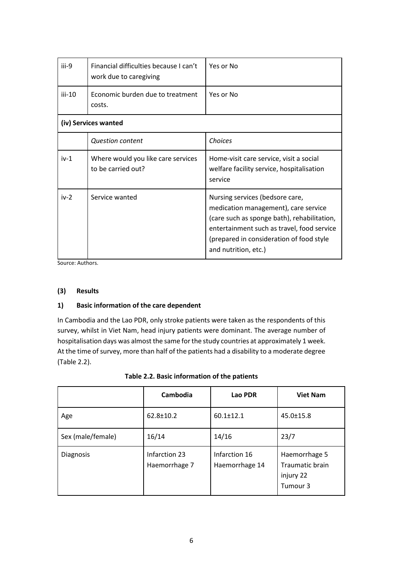| iii-9    | Financial difficulties because I can't<br>work due to caregiving | Yes or No                                                                                                                                                                                                                                |
|----------|------------------------------------------------------------------|------------------------------------------------------------------------------------------------------------------------------------------------------------------------------------------------------------------------------------------|
|          |                                                                  |                                                                                                                                                                                                                                          |
| $iii-10$ | Economic burden due to treatment<br>costs.                       | Yes or No                                                                                                                                                                                                                                |
|          | (iv) Services wanted                                             |                                                                                                                                                                                                                                          |
|          | <b>Question content</b>                                          | Choices                                                                                                                                                                                                                                  |
| $iv-1$   | Where would you like care services<br>to be carried out?         | Home-visit care service, visit a social<br>welfare facility service, hospitalisation<br>service                                                                                                                                          |
| $iv-2$   | Service wanted                                                   | Nursing services (bedsore care,<br>medication management), care service<br>(care such as sponge bath), rehabilitation,<br>entertainment such as travel, food service<br>(prepared in consideration of food style<br>and nutrition, etc.) |

Source: Authors.

#### **(3) Results**

#### **1) Basic information of the care dependent**

In Cambodia and the Lao PDR, only stroke patients were taken as the respondents of this survey, whilst in Viet Nam, head injury patients were dominant. The average number of hospitalisation days was almost the same for the study countries at approximately 1 week. At the time of survey, more than half of the patients had a disability to a moderate degree (Table 2.2).

|                   | Cambodia                       | Lao PDR                         | <b>Viet Nam</b>                                                  |
|-------------------|--------------------------------|---------------------------------|------------------------------------------------------------------|
| Age               | 62.8±10.2                      | $60.1 \pm 12.1$                 | $45.0 \pm 15.8$                                                  |
| Sex (male/female) | 16/14                          | 14/16                           | 23/7                                                             |
| Diagnosis         | Infarction 23<br>Haemorrhage 7 | Infarction 16<br>Haemorrhage 14 | Haemorrhage 5<br><b>Traumatic brain</b><br>injury 22<br>Tumour 3 |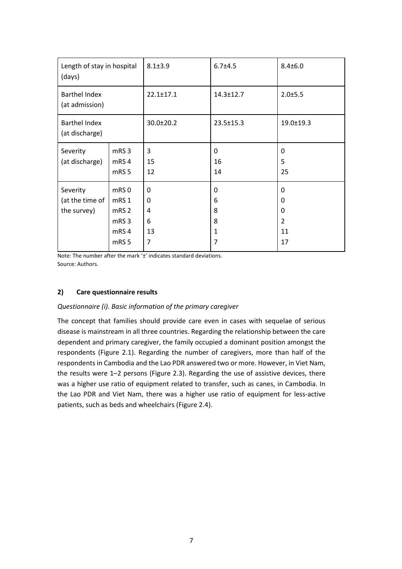| Length of stay in hospital<br>(days)       |                                                                                              | $8.1 + 3.9$                 | $6.7 + 4.5$                           | $8.4 \pm 6.0$                                                          |
|--------------------------------------------|----------------------------------------------------------------------------------------------|-----------------------------|---------------------------------------|------------------------------------------------------------------------|
| <b>Barthel Index</b><br>(at admission)     |                                                                                              | $22.1 \pm 17.1$             | $14.3 \pm 12.7$                       | 2.0±5.5                                                                |
| <b>Barthel Index</b><br>(at discharge)     |                                                                                              | 30.0±20.2                   | $23.5 \pm 15.3$                       | $19.0 \pm 19.3$                                                        |
| Severity<br>(at discharge)                 | mRS <sub>3</sub><br>mRS4<br>mRS <sub>5</sub>                                                 | 3<br>15<br>12               | 0<br>16<br>14                         | $\Omega$<br>5<br>25                                                    |
| Severity<br>(at the time of<br>the survey) | mRS0<br>mRS <sub>1</sub><br>mRS <sub>2</sub><br>mRS <sub>3</sub><br>mRS4<br>mRS <sub>5</sub> | 0<br>0<br>4<br>6<br>13<br>7 | 0<br>6<br>8<br>8<br>$\mathbf{1}$<br>7 | $\mathbf{0}$<br>$\mathbf{0}$<br>$\Omega$<br>$\overline{2}$<br>11<br>17 |

Note: The number after the mark '±' indicates standard deviations. Source: Authors.

#### **2) Care questionnaire results**

#### *Questionnaire (i). Basic information of the primary caregiver*

The concept that families should provide care even in cases with sequelae of serious disease is mainstream in all three countries. Regarding the relationship between the care dependent and primary caregiver, the family occupied a dominant position amongst the respondents (Figure 2.1). Regarding the number of caregivers, more than half of the respondents in Cambodia and the Lao PDR answered two or more. However, in Viet Nam, the results were 1–2 persons (Figure 2.3). Regarding the use of assistive devices, there was a higher use ratio of equipment related to transfer, such as canes, in Cambodia. In the Lao PDR and Viet Nam, there was a higher use ratio of equipment for less-active patients, such as beds and wheelchairs (Figure 2.4).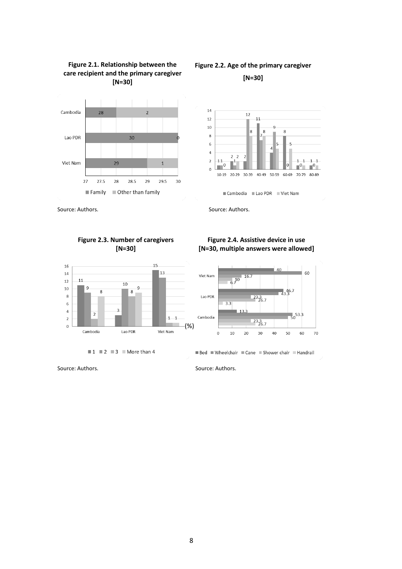

# **Figure 2.2. Age of the primary caregiver**





Cambodia Lao PDR Viet Nam

Source: Authors. Source: Authors.

#### **Figure 2.3. Number of caregivers [N=30]**

**Figure 2.1. Relationship between the care recipient and the primary caregiver**



 $\blacksquare$  1  $\blacksquare$  2  $\blacksquare$  3  $\blacksquare$  More than 4





Bed Wheelchair Cane Shower chair Handrail

Source: Authors. Source: Authors.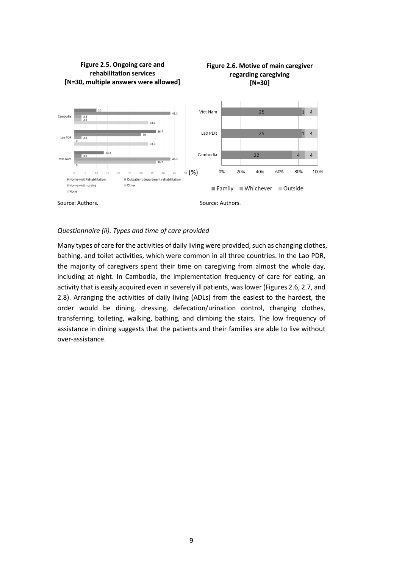

**Figure 2.6. Motive of main caregiver** 

### **Figure 2.5. Ongoing care and rehabilitation services**

#### *Questionnaire (ii). Types and time of care provided*

Many types of care for the activities of daily living were provided, such as changing clothes, bathing, and toilet activities, which were common in all three countries. In the Lao PDR, the majority of caregivers spent their time on caregiving from almost the whole day, including at night. In Cambodia, the implementation frequency of care for eating, an activity that is easily acquired even in severely ill patients, was lower (Figures 2.6, 2.7, and 2.8). Arranging the activities of daily living (ADLs) from the easiest to the hardest, the order would be dining, dressing, defecation/urination control, changing clothes, transferring, toileting, walking, bathing, and climbing the stairs. The low frequency of assistance in dining suggests that the patients and their families are able to live without over-assistance.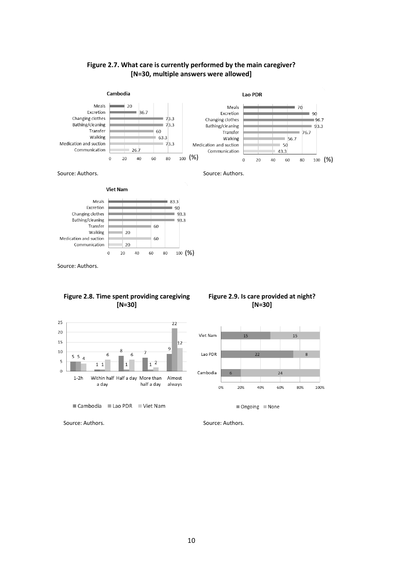





**Viet Nam** 



Source: Authors.

#### **Figure 2.8. Time spent providing caregiving [N=30]**





#### **Figure 2.9. Is care provided at night? [N=30]**



 $\blacksquare$  Ongoing  $\blacksquare$  None

Source: Authors. Source: Authors.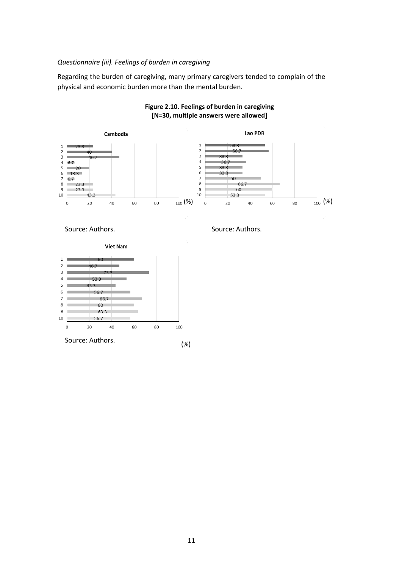#### *Questionnaire (iii). Feelings of burden in caregiving*

Regarding the burden of caregiving, many primary caregivers tended to complain of the physical and economic burden more than the mental burden.



#### **Figure 2.10. Feelings of burden in caregiving [N=30, multiple answers were allowed]**

Source: Authors. Source: Authors.

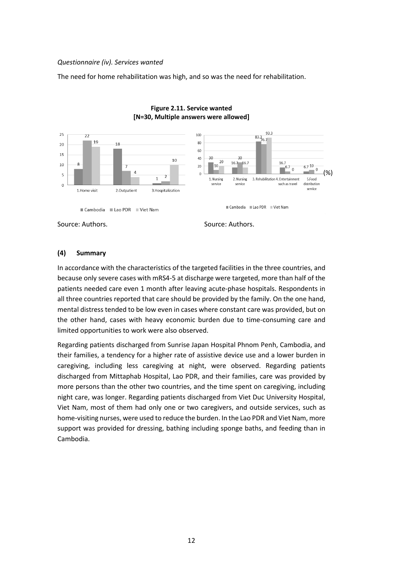#### *Questionnaire (iv). Services wanted*

The need for home rehabilitation was high, and so was the need for rehabilitation.



#### **Figure 2.11. Service wanted [N=30, Multiple answers were allowed]**

Source: Authors. Source: Authors.

#### **(4) Summary**

In accordance with the characteristics of the targeted facilities in the three countries, and because only severe cases with mRS4-5 at discharge were targeted, more than half of the patients needed care even 1 month after leaving acute-phase hospitals. Respondents in all three countries reported that care should be provided by the family. On the one hand, mental distress tended to be low even in cases where constant care was provided, but on the other hand, cases with heavy economic burden due to time-consuming care and limited opportunities to work were also observed.

Regarding patients discharged from Sunrise Japan Hospital Phnom Penh, Cambodia, and their families, a tendency for a higher rate of assistive device use and a lower burden in caregiving, including less caregiving at night, were observed. Regarding patients discharged from Mittaphab Hospital, Lao PDR, and their families, care was provided by more persons than the other two countries, and the time spent on caregiving, including night care, was longer. Regarding patients discharged from Viet Duc University Hospital, Viet Nam, most of them had only one or two caregivers, and outside services, such as home-visiting nurses, were used to reduce the burden. In the Lao PDR and Viet Nam, more support was provided for dressing, bathing including sponge baths, and feeding than in Cambodia.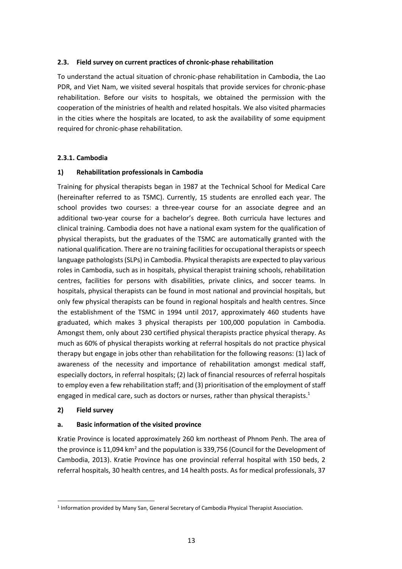#### **2.3. Field survey on current practices of chronic-phase rehabilitation**

To understand the actual situation of chronic-phase rehabilitation in Cambodia, the Lao PDR, and Viet Nam, we visited several hospitals that provide services for chronic-phase rehabilitation. Before our visits to hospitals, we obtained the permission with the cooperation of the ministries of health and related hospitals. We also visited pharmacies in the cities where the hospitals are located, to ask the availability of some equipment required for chronic-phase rehabilitation.

#### **2.3.1. Cambodia**

#### **1) Rehabilitation professionals in Cambodia**

Training for physical therapists began in 1987 at the Technical School for Medical Care (hereinafter referred to as TSMC). Currently, 15 students are enrolled each year. The school provides two courses: a three-year course for an associate degree and an additional two-year course for a bachelor's degree. Both curricula have lectures and clinical training. Cambodia does not have a national exam system for the qualification of physical therapists, but the graduates of the TSMC are automatically granted with the national qualification. There are no training facilities for occupational therapists or speech language pathologists (SLPs) in Cambodia. Physical therapists are expected to play various roles in Cambodia, such as in hospitals, physical therapist training schools, rehabilitation centres, facilities for persons with disabilities, private clinics, and soccer teams. In hospitals, physical therapists can be found in most national and provincial hospitals, but only few physical therapists can be found in regional hospitals and health centres. Since the establishment of the TSMC in 1994 until 2017, approximately 460 students have graduated, which makes 3 physical therapists per 100,000 population in Cambodia. Amongst them, only about 230 certified physical therapists practice physical therapy. As much as 60% of physical therapists working at referral hospitals do not practice physical therapy but engage in jobs other than rehabilitation for the following reasons: (1) lack of awareness of the necessity and importance of rehabilitation amongst medical staff, especially doctors, in referral hospitals; (2) lack of financial resources of referral hospitals to employ even a few rehabilitation staff; and (3) prioritisation of the employment of staff engaged in medical care, such as doctors or nurses, rather than physical therapists.<sup>1</sup>

#### **2) Field survey**

#### **a. Basic information of the visited province**

Kratie Province is located approximately 260 km northeast of Phnom Penh. The area of the province is 11,094 km<sup>2</sup> and the population is 339,756 (Council for the Development of Cambodia, 2013). Kratie Province has one provincial referral hospital with 150 beds, 2 referral hospitals, 30 health centres, and 14 health posts. As for medical professionals, 37

<sup>1</sup> Information provided by Many San, General Secretary of Cambodia Physical Therapist Association.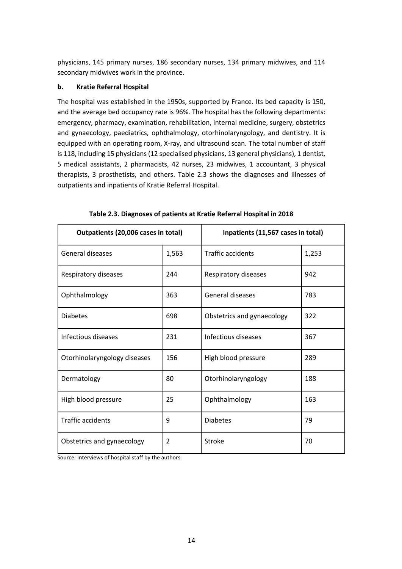physicians, 145 primary nurses, 186 secondary nurses, 134 primary midwives, and 114 secondary midwives work in the province.

#### **b. Kratie Referral Hospital**

The hospital was established in the 1950s, supported by France. Its bed capacity is 150, and the average bed occupancy rate is 96%. The hospital has the following departments: emergency, pharmacy, examination, rehabilitation, internal medicine, surgery, obstetrics and gynaecology, paediatrics, ophthalmology, otorhinolaryngology, and dentistry. It is equipped with an operating room, X-ray, and ultrasound scan. The total number of staff is 118, including 15 physicians (12 specialised physicians, 13 general physicians), 1 dentist, 5 medical assistants, 2 pharmacists, 42 nurses, 23 midwives, 1 accountant, 3 physical therapists, 3 prosthetists, and others. Table 2.3 shows the diagnoses and illnesses of outpatients and inpatients of Kratie Referral Hospital.

| Outpatients (20,006 cases in total) |                | Inpatients (11,567 cases in total) |       |
|-------------------------------------|----------------|------------------------------------|-------|
| <b>General diseases</b>             | 1,563          | <b>Traffic accidents</b>           | 1,253 |
| Respiratory diseases                | 244            | Respiratory diseases               | 942   |
| Ophthalmology                       | 363            | General diseases                   | 783   |
| <b>Diabetes</b>                     | 698            | Obstetrics and gynaecology         | 322   |
| Infectious diseases                 | 231            | Infectious diseases                | 367   |
| Otorhinolaryngology diseases        | 156            | High blood pressure                | 289   |
| Dermatology                         | 80             | Otorhinolaryngology                | 188   |
| High blood pressure                 | 25             | Ophthalmology                      | 163   |
| <b>Traffic accidents</b>            | 9              | <b>Diabetes</b>                    | 79    |
| Obstetrics and gynaecology          | $\overline{2}$ | Stroke                             | 70    |

**Table 2.3. Diagnoses of patients at Kratie Referral Hospital in 2018**

Source: Interviews of hospital staff by the authors.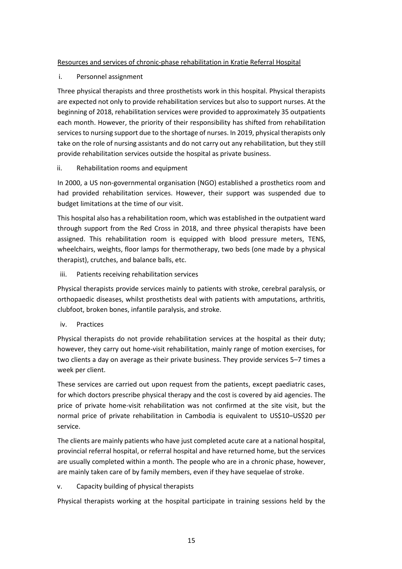#### Resources and services of chronic-phase rehabilitation in Kratie Referral Hospital

#### i. Personnel assignment

Three physical therapists and three prosthetists work in this hospital. Physical therapists are expected not only to provide rehabilitation services but also to support nurses. At the beginning of 2018, rehabilitation services were provided to approximately 35 outpatients each month. However, the priority of their responsibility has shifted from rehabilitation services to nursing support due to the shortage of nurses. In 2019, physical therapists only take on the role of nursing assistants and do not carry out any rehabilitation, but they still provide rehabilitation services outside the hospital as private business.

#### ii. Rehabilitation rooms and equipment

In 2000, a US non-governmental organisation (NGO) established a prosthetics room and had provided rehabilitation services. However, their support was suspended due to budget limitations at the time of our visit.

This hospital also has a rehabilitation room, which was established in the outpatient ward through support from the Red Cross in 2018, and three physical therapists have been assigned. This rehabilitation room is equipped with blood pressure meters, TENS, wheelchairs, weights, floor lamps for thermotherapy, two beds (one made by a physical therapist), crutches, and balance balls, etc.

iii. Patients receiving rehabilitation services

Physical therapists provide services mainly to patients with stroke, cerebral paralysis, or orthopaedic diseases, whilst prosthetists deal with patients with amputations, arthritis, clubfoot, broken bones, infantile paralysis, and stroke.

iv. Practices

Physical therapists do not provide rehabilitation services at the hospital as their duty; however, they carry out home-visit rehabilitation, mainly range of motion exercises, for two clients a day on average as their private business. They provide services 5–7 times a week per client.

These services are carried out upon request from the patients, except paediatric cases, for which doctors prescribe physical therapy and the cost is covered by aid agencies. The price of private home-visit rehabilitation was not confirmed at the site visit, but the normal price of private rehabilitation in Cambodia is equivalent to US\$10–US\$20 per service.

The clients are mainly patients who have just completed acute care at a national hospital, provincial referral hospital, or referral hospital and have returned home, but the services are usually completed within a month. The people who are in a chronic phase, however, are mainly taken care of by family members, even if they have sequelae of stroke.

v. Capacity building of physical therapists

Physical therapists working at the hospital participate in training sessions held by the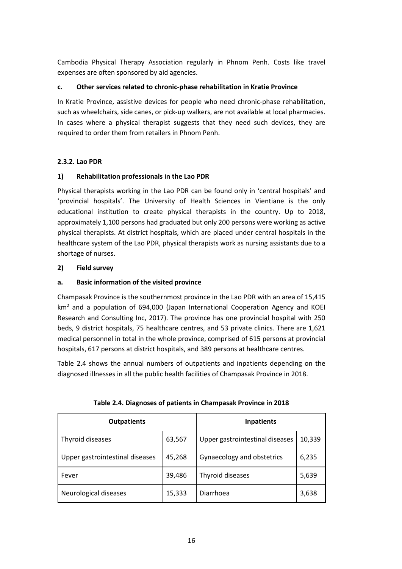Cambodia Physical Therapy Association regularly in Phnom Penh. Costs like travel expenses are often sponsored by aid agencies.

#### **c. Other services related to chronic-phase rehabilitation in Kratie Province**

In Kratie Province, assistive devices for people who need chronic-phase rehabilitation, such as wheelchairs, side canes, or pick-up walkers, are not available at local pharmacies. In cases where a physical therapist suggests that they need such devices, they are required to order them from retailers in Phnom Penh.

#### **2.3.2. Lao PDR**

#### **1) Rehabilitation professionals in the Lao PDR**

Physical therapists working in the Lao PDR can be found only in 'central hospitals' and 'provincial hospitals'. The University of Health Sciences in Vientiane is the only educational institution to create physical therapists in the country. Up to 2018, approximately 1,100 persons had graduated but only 200 persons were working as active physical therapists. At district hospitals, which are placed under central hospitals in the healthcare system of the Lao PDR, physical therapists work as nursing assistants due to a shortage of nurses.

#### **2) Field survey**

#### **a. Basic information of the visited province**

Champasak Province is the southernmost province in the Lao PDR with an area of 15,415  $km<sup>2</sup>$  and a population of 694,000 (Japan International Cooperation Agency and KOEI Research and Consulting Inc, 2017). The province has one provincial hospital with 250 beds, 9 district hospitals, 75 healthcare centres, and 53 private clinics. There are 1,621 medical personnel in total in the whole province, comprised of 615 persons at provincial hospitals, 617 persons at district hospitals, and 389 persons at healthcare centres.

Table 2.4 shows the annual numbers of outpatients and inpatients depending on the diagnosed illnesses in all the public health facilities of Champasak Province in 2018.

| <b>Outpatients</b>              |        | <b>Inpatients</b>               |        |
|---------------------------------|--------|---------------------------------|--------|
| Thyroid diseases                | 63,567 | Upper gastrointestinal diseases | 10,339 |
| Upper gastrointestinal diseases | 45,268 | Gynaecology and obstetrics      | 6,235  |
| Fever                           | 39,486 | Thyroid diseases                | 5,639  |
| Neurological diseases           | 15,333 | Diarrhoea                       | 3,638  |

| Table 2.4. Diagnoses of patients in Champasak Province in 2018 |  |  |
|----------------------------------------------------------------|--|--|
|----------------------------------------------------------------|--|--|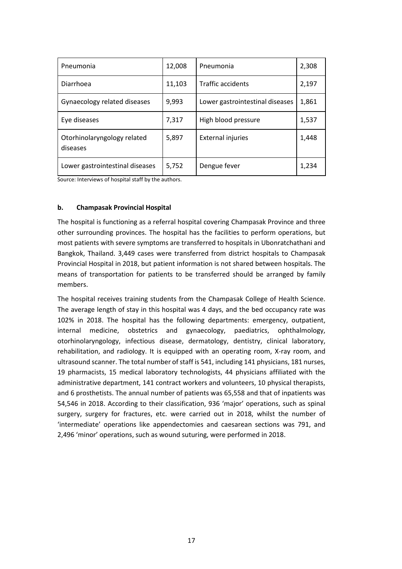| Pneumonia                               | 12,008 | Pneumonia                       | 2,308 |
|-----------------------------------------|--------|---------------------------------|-------|
| Diarrhoea                               | 11,103 | <b>Traffic accidents</b>        | 2,197 |
| Gynaecology related diseases            | 9,993  | Lower gastrointestinal diseases | 1,861 |
| Eye diseases                            | 7,317  | High blood pressure             | 1,537 |
| Otorhinolaryngology related<br>diseases | 5,897  | <b>External injuries</b>        | 1,448 |
| Lower gastrointestinal diseases         | 5,752  | Dengue fever                    | 1,234 |

Source: Interviews of hospital staff by the authors.

#### **b. Champasak Provincial Hospital**

The hospital is functioning as a referral hospital covering Champasak Province and three other surrounding provinces. The hospital has the facilities to perform operations, but most patients with severe symptoms are transferred to hospitals in Ubonratchathani and Bangkok, Thailand. 3,449 cases were transferred from district hospitals to Champasak Provincial Hospital in 2018, but patient information is not shared between hospitals. The means of transportation for patients to be transferred should be arranged by family members.

The hospital receives training students from the Champasak College of Health Science. The average length of stay in this hospital was 4 days, and the bed occupancy rate was 102% in 2018. The hospital has the following departments: emergency, outpatient, internal medicine, obstetrics and gynaecology, paediatrics, ophthalmology, otorhinolaryngology, infectious disease, dermatology, dentistry, clinical laboratory, rehabilitation, and radiology. It is equipped with an operating room, X-ray room, and ultrasound scanner. The total number of staff is 541, including 141 physicians, 181 nurses, 19 pharmacists, 15 medical laboratory technologists, 44 physicians affiliated with the administrative department, 141 contract workers and volunteers, 10 physical therapists, and 6 prosthetists. The annual number of patients was 65,558 and that of inpatients was 54,546 in 2018. According to their classification, 936 'major' operations, such as spinal surgery, surgery for fractures, etc. were carried out in 2018, whilst the number of 'intermediate' operations like appendectomies and caesarean sections was 791, and 2,496 'minor' operations, such as wound suturing, were performed in 2018.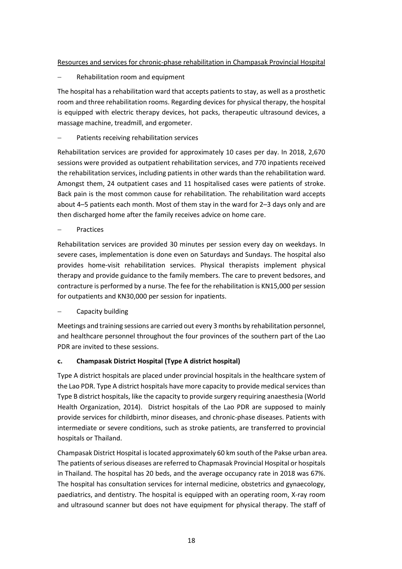#### Resources and services for chronic-phase rehabilitation in Champasak Provincial Hospital

− Rehabilitation room and equipment

The hospital has a rehabilitation ward that accepts patients to stay, as well as a prosthetic room and three rehabilitation rooms. Regarding devices for physical therapy, the hospital is equipped with electric therapy devices, hot packs, therapeutic ultrasound devices, a massage machine, treadmill, and ergometer.

#### − Patients receiving rehabilitation services

Rehabilitation services are provided for approximately 10 cases per day. In 2018, 2,670 sessions were provided as outpatient rehabilitation services, and 770 inpatients received the rehabilitation services, including patients in other wards than the rehabilitation ward. Amongst them, 24 outpatient cases and 11 hospitalised cases were patients of stroke. Back pain is the most common cause for rehabilitation. The rehabilitation ward accepts about 4–5 patients each month. Most of them stay in the ward for 2–3 days only and are then discharged home after the family receives advice on home care.

− Practices

Rehabilitation services are provided 30 minutes per session every day on weekdays. In severe cases, implementation is done even on Saturdays and Sundays. The hospital also provides home-visit rehabilitation services. Physical therapists implement physical therapy and provide guidance to the family members. The care to prevent bedsores, and contracture is performed by a nurse. The fee for the rehabilitation is KN15,000 per session for outpatients and KN30,000 per session for inpatients.

− Capacity building

Meetings and training sessions are carried out every 3 months by rehabilitation personnel, and healthcare personnel throughout the four provinces of the southern part of the Lao PDR are invited to these sessions.

#### **c. Champasak District Hospital (Type A district hospital)**

Type A district hospitals are placed under provincial hospitals in the healthcare system of the Lao PDR. Type A district hospitals have more capacity to provide medical services than Type B district hospitals, like the capacity to provide surgery requiring anaesthesia (World Health Organization, 2014). District hospitals of the Lao PDR are supposed to mainly provide services for childbirth, minor diseases, and chronic-phase diseases. Patients with intermediate or severe conditions, such as stroke patients, are transferred to provincial hospitals or Thailand.

Champasak District Hospital is located approximately 60 km south of the Pakse urban area. The patients of serious diseases are referred to Chapmasak Provincial Hospital or hospitals in Thailand. The hospital has 20 beds, and the average occupancy rate in 2018 was 67%. The hospital has consultation services for internal medicine, obstetrics and gynaecology, paediatrics, and dentistry. The hospital is equipped with an operating room, X-ray room and ultrasound scanner but does not have equipment for physical therapy. The staff of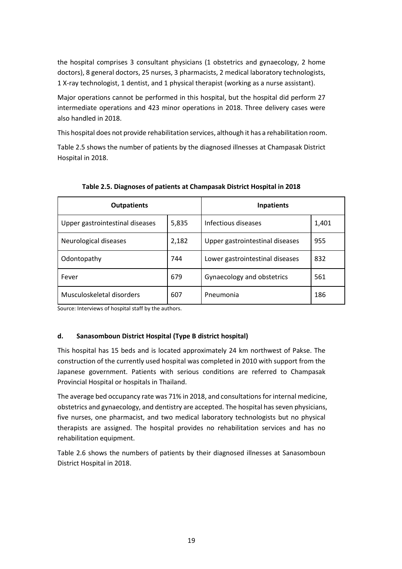the hospital comprises 3 consultant physicians (1 obstetrics and gynaecology, 2 home doctors), 8 general doctors, 25 nurses, 3 pharmacists, 2 medical laboratory technologists, 1 X-ray technologist, 1 dentist, and 1 physical therapist (working as a nurse assistant).

Major operations cannot be performed in this hospital, but the hospital did perform 27 intermediate operations and 423 minor operations in 2018. Three delivery cases were also handled in 2018.

This hospital does not provide rehabilitation services, although it has a rehabilitation room.

Table 2.5 shows the number of patients by the diagnosed illnesses at Champasak District Hospital in 2018.

| <b>Outpatients</b>              |       | <b>Inpatients</b>               |       |
|---------------------------------|-------|---------------------------------|-------|
| Upper gastrointestinal diseases | 5,835 | Infectious diseases             | 1,401 |
| Neurological diseases           | 2,182 | Upper gastrointestinal diseases | 955   |
| Odontopathy                     | 744   | Lower gastrointestinal diseases | 832   |
| Fever                           | 679   | Gynaecology and obstetrics      | 561   |
| Musculoskeletal disorders       | 607   | Pneumonia                       | 186   |

**Table 2.5. Diagnoses of patients at Champasak District Hospital in 2018**

Source: Interviews of hospital staff by the authors.

#### **d. Sanasomboun District Hospital (Type B district hospital)**

This hospital has 15 beds and is located approximately 24 km northwest of Pakse. The construction of the currently used hospital was completed in 2010 with support from the Japanese government. Patients with serious conditions are referred to Champasak Provincial Hospital or hospitals in Thailand.

The average bed occupancy rate was 71% in 2018, and consultations for internal medicine, obstetrics and gynaecology, and dentistry are accepted. The hospital has seven physicians, five nurses, one pharmacist, and two medical laboratory technologists but no physical therapists are assigned. The hospital provides no rehabilitation services and has no rehabilitation equipment.

Table 2.6 shows the numbers of patients by their diagnosed illnesses at Sanasomboun District Hospital in 2018.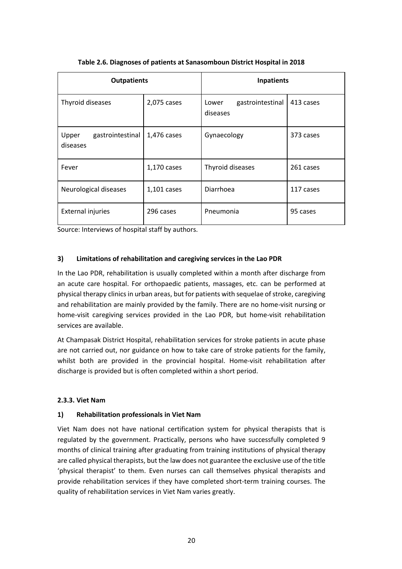| <b>Outpatients</b>                    |             | Inpatients                            |           |
|---------------------------------------|-------------|---------------------------------------|-----------|
| Thyroid diseases                      | 2,075 cases | gastrointestinal<br>Lower<br>diseases | 413 cases |
| gastrointestinal<br>Upper<br>diseases | 1,476 cases | Gynaecology                           | 373 cases |
| Fever                                 | 1,170 cases | Thyroid diseases                      | 261 cases |
| Neurological diseases                 | 1,101 cases | Diarrhoea                             | 117 cases |
| <b>External injuries</b>              | 296 cases   | Pneumonia                             | 95 cases  |

#### **Table 2.6. Diagnoses of patients at Sanasomboun District Hospital in 2018**

Source: Interviews of hospital staff by authors.

#### **3) Limitations of rehabilitation and caregiving services in the Lao PDR**

In the Lao PDR, rehabilitation is usually completed within a month after discharge from an acute care hospital. For orthopaedic patients, massages, etc. can be performed at physical therapy clinicsin urban areas, but for patients with sequelae of stroke, caregiving and rehabilitation are mainly provided by the family. There are no home-visit nursing or home-visit caregiving services provided in the Lao PDR, but home-visit rehabilitation services are available.

At Champasak District Hospital, rehabilitation services for stroke patients in acute phase are not carried out, nor guidance on how to take care of stroke patients for the family, whilst both are provided in the provincial hospital. Home-visit rehabilitation after discharge is provided but is often completed within a short period.

#### **2.3.3. Viet Nam**

#### **1) Rehabilitation professionals in Viet Nam**

Viet Nam does not have national certification system for physical therapists that is regulated by the government. Practically, persons who have successfully completed 9 months of clinical training after graduating from training institutions of physical therapy are called physical therapists, but the law does not guarantee the exclusive use of the title 'physical therapist' to them. Even nurses can call themselves physical therapists and provide rehabilitation services if they have completed short-term training courses. The quality of rehabilitation services in Viet Nam varies greatly.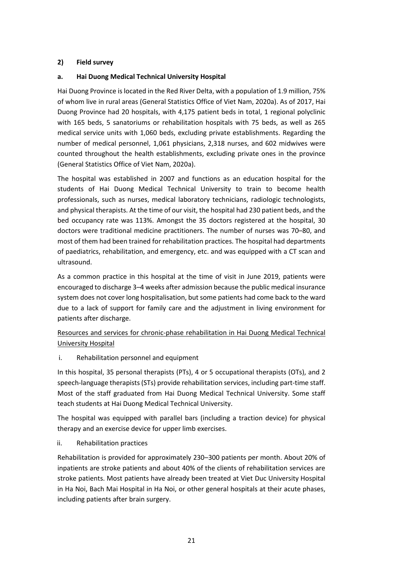#### **2) Field survey**

#### **a. Hai Duong Medical Technical University Hospital**

Hai Duong Province is located in the Red River Delta, with a population of 1.9 million, 75% of whom live in rural areas (General Statistics Office of Viet Nam, 2020a). As of 2017, Hai Duong Province had 20 hospitals, with 4,175 patient beds in total, 1 regional polyclinic with 165 beds, 5 sanatoriums or rehabilitation hospitals with 75 beds, as well as 265 medical service units with 1,060 beds, excluding private establishments. Regarding the number of medical personnel, 1,061 physicians, 2,318 nurses, and 602 midwives were counted throughout the health establishments, excluding private ones in the province (General Statistics Office of Viet Nam, 2020a).

The hospital was established in 2007 and functions as an education hospital for the students of Hai Duong Medical Technical University to train to become health professionals, such as nurses, medical laboratory technicians, radiologic technologists, and physical therapists. At the time of our visit, the hospital had 230 patient beds, and the bed occupancy rate was 113%. Amongst the 35 doctors registered at the hospital, 30 doctors were traditional medicine practitioners. The number of nurses was 70–80, and most of them had been trained for rehabilitation practices. The hospital had departments of paediatrics, rehabilitation, and emergency, etc. and was equipped with a CT scan and ultrasound.

As a common practice in this hospital at the time of visit in June 2019, patients were encouraged to discharge 3–4 weeks after admission because the public medical insurance system does not cover long hospitalisation, but some patients had come back to the ward due to a lack of support for family care and the adjustment in living environment for patients after discharge.

#### Resources and services for chronic-phase rehabilitation in Hai Duong Medical Technical University Hospital

i. Rehabilitation personnel and equipment

In this hospital, 35 personal therapists (PTs), 4 or 5 occupational therapists (OTs), and 2 speech-language therapists (STs) provide rehabilitation services, including part-time staff. Most of the staff graduated from Hai Duong Medical Technical University. Some staff teach students at Hai Duong Medical Technical University.

The hospital was equipped with parallel bars (including a traction device) for physical therapy and an exercise device for upper limb exercises.

ii. Rehabilitation practices

Rehabilitation is provided for approximately 230–300 patients per month. About 20% of inpatients are stroke patients and about 40% of the clients of rehabilitation services are stroke patients. Most patients have already been treated at Viet Duc University Hospital in Ha Noi, Bach Mai Hospital in Ha Noi, or other general hospitals at their acute phases, including patients after brain surgery.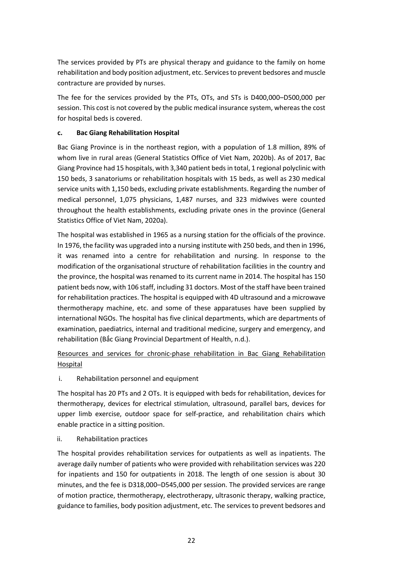The services provided by PTs are physical therapy and guidance to the family on home rehabilitation and body position adjustment, etc. Services to prevent bedsores and muscle contracture are provided by nurses.

The fee for the services provided by the PTs, OTs, and STs is D400,000–D500,000 per session. This cost is not covered by the public medical insurance system, whereas the cost for hospital beds is covered.

#### **c. Bac Giang Rehabilitation Hospital**

Bac Giang Province is in the northeast region, with a population of 1.8 million, 89% of whom live in rural areas (General Statistics Office of Viet Nam, 2020b). As of 2017, Bac Giang Province had 15 hospitals, with 3,340 patient beds in total, 1 regional polyclinic with 150 beds, 3 sanatoriums or rehabilitation hospitals with 15 beds, as well as 230 medical service units with 1,150 beds, excluding private establishments. Regarding the number of medical personnel, 1,075 physicians, 1,487 nurses, and 323 midwives were counted throughout the health establishments, excluding private ones in the province (General Statistics Office of Viet Nam, 2020a).

The hospital was established in 1965 as a nursing station for the officials of the province. In 1976, the facility was upgraded into a nursing institute with 250 beds, and then in 1996, it was renamed into a centre for rehabilitation and nursing. In response to the modification of the organisational structure of rehabilitation facilities in the country and the province, the hospital was renamed to its current name in 2014. The hospital has 150 patient beds now, with 106 staff, including 31 doctors. Most of the staff have been trained for rehabilitation practices. The hospital is equipped with 4D ultrasound and a microwave thermotherapy machine, etc. and some of these apparatuses have been supplied by international NGOs. The hospital has five clinical departments, which are departments of examination, paediatrics, internal and traditional medicine, surgery and emergency, and rehabilitation (Bắc Giang Provincial Department of Health, n.d.).

#### Resources and services for chronic-phase rehabilitation in Bac Giang Rehabilitation **Hospital**

i. Rehabilitation personnel and equipment

The hospital has 20 PTs and 2 OTs. It is equipped with beds for rehabilitation, devices for thermotherapy, devices for electrical stimulation, ultrasound, parallel bars, devices for upper limb exercise, outdoor space for self-practice, and rehabilitation chairs which enable practice in a sitting position.

#### ii. Rehabilitation practices

The hospital provides rehabilitation services for outpatients as well as inpatients. The average daily number of patients who were provided with rehabilitation services was 220 for inpatients and 150 for outpatients in 2018. The length of one session is about 30 minutes, and the fee is D318,000–D545,000 per session. The provided services are range of motion practice, thermotherapy, electrotherapy, ultrasonic therapy, walking practice, guidance to families, body position adjustment, etc. The services to prevent bedsores and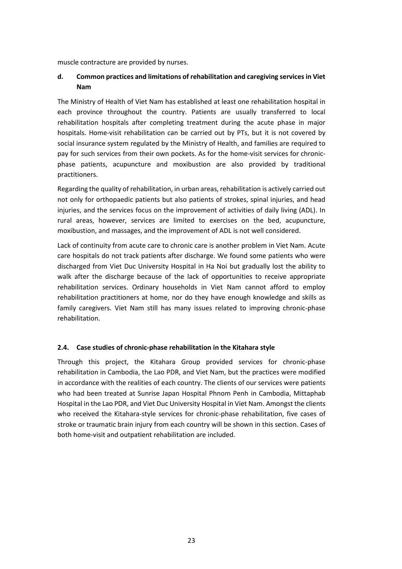muscle contracture are provided by nurses.

#### **d. Common practices and limitations of rehabilitation and caregiving servicesin Viet Nam**

The Ministry of Health of Viet Nam has established at least one rehabilitation hospital in each province throughout the country. Patients are usually transferred to local rehabilitation hospitals after completing treatment during the acute phase in major hospitals. Home-visit rehabilitation can be carried out by PTs, but it is not covered by social insurance system regulated by the Ministry of Health, and families are required to pay for such services from their own pockets. As for the home-visit services for chronicphase patients, acupuncture and moxibustion are also provided by traditional practitioners.

Regarding the quality of rehabilitation, in urban areas, rehabilitation is actively carried out not only for orthopaedic patients but also patients of strokes, spinal injuries, and head injuries, and the services focus on the improvement of activities of daily living (ADL). In rural areas, however, services are limited to exercises on the bed, acupuncture, moxibustion, and massages, and the improvement of ADL is not well considered.

Lack of continuity from acute care to chronic care is another problem in Viet Nam. Acute care hospitals do not track patients after discharge. We found some patients who were discharged from Viet Duc University Hospital in Ha Noi but gradually lost the ability to walk after the discharge because of the lack of opportunities to receive appropriate rehabilitation services. Ordinary households in Viet Nam cannot afford to employ rehabilitation practitioners at home, nor do they have enough knowledge and skills as family caregivers. Viet Nam still has many issues related to improving chronic-phase rehabilitation.

#### **2.4. Case studies of chronic-phase rehabilitation in the Kitahara style**

Through this project, the Kitahara Group provided services for chronic-phase rehabilitation in Cambodia, the Lao PDR, and Viet Nam, but the practices were modified in accordance with the realities of each country. The clients of our services were patients who had been treated at Sunrise Japan Hospital Phnom Penh in Cambodia, Mittaphab Hospital in the Lao PDR, and Viet Duc University Hospital in Viet Nam. Amongst the clients who received the Kitahara-style services for chronic-phase rehabilitation, five cases of stroke or traumatic brain injury from each country will be shown in this section. Cases of both home-visit and outpatient rehabilitation are included.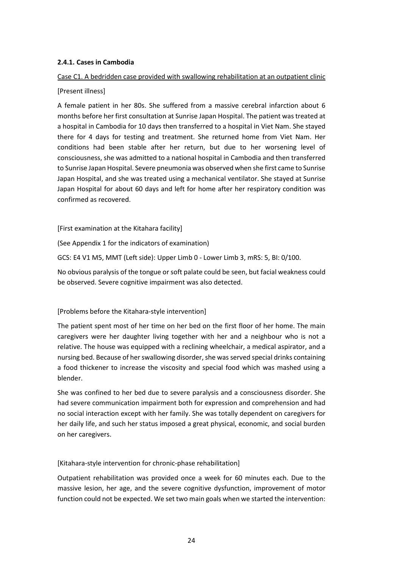#### **2.4.1. Cases in Cambodia**

#### Case C1. A bedridden case provided with swallowing rehabilitation at an outpatient clinic

#### [Present illness]

A female patient in her 80s. She suffered from a massive cerebral infarction about 6 months before her first consultation at Sunrise Japan Hospital. The patient was treated at a hospital in Cambodia for 10 days then transferred to a hospital in Viet Nam. She stayed there for 4 days for testing and treatment. She returned home from Viet Nam. Her conditions had been stable after her return, but due to her worsening level of consciousness, she was admitted to a national hospital in Cambodia and then transferred to Sunrise Japan Hospital. Severe pneumonia was observed when she first came to Sunrise Japan Hospital, and she was treated using a mechanical ventilator. She stayed at Sunrise Japan Hospital for about 60 days and left for home after her respiratory condition was confirmed as recovered.

[First examination at the Kitahara facility]

(See Appendix 1 for the indicators of examination)

GCS: E4 V1 M5, MMT (Left side): Upper Limb 0 - Lower Limb 3, mRS: 5, BI: 0/100.

No obvious paralysis of the tongue orsoft palate could be seen, but facial weakness could be observed. Severe cognitive impairment was also detected.

#### [Problems before the Kitahara-style intervention]

The patient spent most of her time on her bed on the first floor of her home. The main caregivers were her daughter living together with her and a neighbour who is not a relative. The house was equipped with a reclining wheelchair, a medical aspirator, and a nursing bed. Because of her swallowing disorder, she was served special drinks containing a food thickener to increase the viscosity and special food which was mashed using a blender.

She was confined to her bed due to severe paralysis and a consciousness disorder. She had severe communication impairment both for expression and comprehension and had no social interaction except with her family. She was totally dependent on caregivers for her daily life, and such her status imposed a great physical, economic, and social burden on her caregivers.

[Kitahara-style intervention for chronic-phase rehabilitation]

Outpatient rehabilitation was provided once a week for 60 minutes each. Due to the massive lesion, her age, and the severe cognitive dysfunction, improvement of motor function could not be expected. We set two main goals when we started the intervention: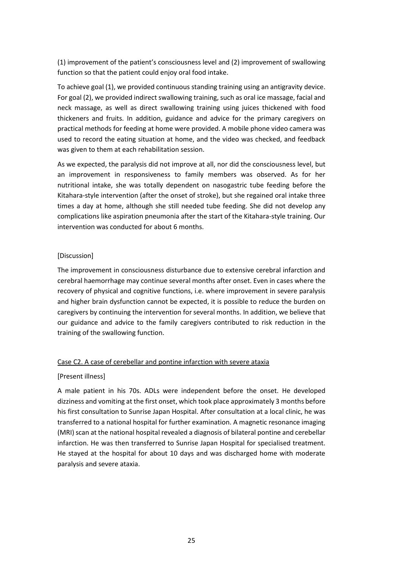(1) improvement of the patient's consciousness level and (2) improvement of swallowing function so that the patient could enjoy oral food intake.

To achieve goal (1), we provided continuous standing training using an antigravity device. For goal (2), we provided indirect swallowing training, such as oral ice massage, facial and neck massage, as well as direct swallowing training using juices thickened with food thickeners and fruits. In addition, guidance and advice for the primary caregivers on practical methods for feeding at home were provided. A mobile phone video camera was used to record the eating situation at home, and the video was checked, and feedback was given to them at each rehabilitation session.

As we expected, the paralysis did not improve at all, nor did the consciousness level, but an improvement in responsiveness to family members was observed. As for her nutritional intake, she was totally dependent on nasogastric tube feeding before the Kitahara-style intervention (after the onset of stroke), but she regained oral intake three times a day at home, although she still needed tube feeding. She did not develop any complications like aspiration pneumonia after the start of the Kitahara-style training. Our intervention was conducted for about 6 months.

#### [Discussion]

The improvement in consciousness disturbance due to extensive cerebral infarction and cerebral haemorrhage may continue several months after onset. Even in cases where the recovery of physical and cognitive functions, i.e. where improvement in severe paralysis and higher brain dysfunction cannot be expected, it is possible to reduce the burden on caregivers by continuing the intervention for several months. In addition, we believe that our guidance and advice to the family caregivers contributed to risk reduction in the training of the swallowing function.

#### Case C2. A case of cerebellar and pontine infarction with severe ataxia

#### [Present illness]

A male patient in his 70s. ADLs were independent before the onset. He developed dizziness and vomiting at the first onset, which took place approximately 3 months before his first consultation to Sunrise Japan Hospital. After consultation at a local clinic, he was transferred to a national hospital for further examination. A magnetic resonance imaging (MRI) scan at the national hospital revealed a diagnosis of bilateral pontine and cerebellar infarction. He was then transferred to Sunrise Japan Hospital for specialised treatment. He stayed at the hospital for about 10 days and was discharged home with moderate paralysis and severe ataxia.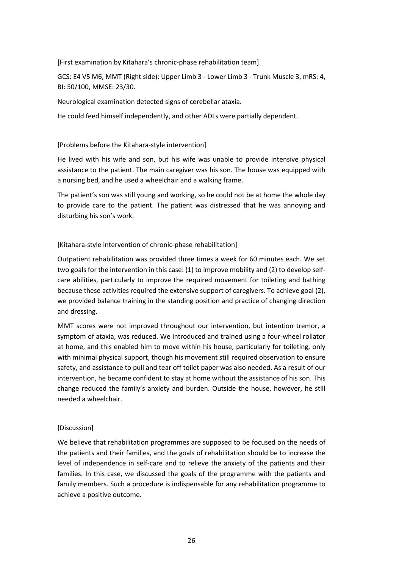[First examination by Kitahara's chronic-phase rehabilitation team]

GCS: E4 V5 M6, MMT (Right side): Upper Limb 3 - Lower Limb 3 - Trunk Muscle 3, mRS: 4, BI: 50/100, MMSE: 23/30.

Neurological examination detected signs of cerebellar ataxia.

He could feed himself independently, and other ADLs were partially dependent.

#### [Problems before the Kitahara-style intervention]

He lived with his wife and son, but his wife was unable to provide intensive physical assistance to the patient. The main caregiver was his son. The house was equipped with a nursing bed, and he used a wheelchair and a walking frame.

The patient's son was still young and working, so he could not be at home the whole day to provide care to the patient. The patient was distressed that he was annoying and disturbing his son's work.

#### [Kitahara-style intervention of chronic-phase rehabilitation]

Outpatient rehabilitation was provided three times a week for 60 minutes each. We set two goals for the intervention in this case: (1) to improve mobility and (2) to develop selfcare abilities, particularly to improve the required movement for toileting and bathing because these activities required the extensive support of caregivers. To achieve goal (2), we provided balance training in the standing position and practice of changing direction and dressing.

MMT scores were not improved throughout our intervention, but intention tremor, a symptom of ataxia, was reduced. We introduced and trained using a four-wheel rollator at home, and this enabled him to move within his house, particularly for toileting, only with minimal physical support, though his movement still required observation to ensure safety, and assistance to pull and tear off toilet paper was also needed. As a result of our intervention, he became confident to stay at home without the assistance of his son. This change reduced the family's anxiety and burden. Outside the house, however, he still needed a wheelchair.

#### [Discussion]

We believe that rehabilitation programmes are supposed to be focused on the needs of the patients and their families, and the goals of rehabilitation should be to increase the level of independence in self-care and to relieve the anxiety of the patients and their families. In this case, we discussed the goals of the programme with the patients and family members. Such a procedure is indispensable for any rehabilitation programme to achieve a positive outcome.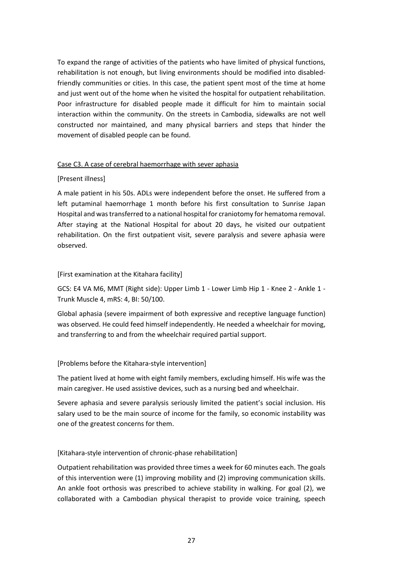To expand the range of activities of the patients who have limited of physical functions, rehabilitation is not enough, but living environments should be modified into disabledfriendly communities or cities. In this case, the patient spent most of the time at home and just went out of the home when he visited the hospital for outpatient rehabilitation. Poor infrastructure for disabled people made it difficult for him to maintain social interaction within the community. On the streets in Cambodia, sidewalks are not well constructed nor maintained, and many physical barriers and steps that hinder the movement of disabled people can be found.

#### Case C3. A case of cerebral haemorrhage with sever aphasia

#### [Present illness]

A male patient in his 50s. ADLs were independent before the onset. He suffered from a left putaminal haemorrhage 1 month before his first consultation to Sunrise Japan Hospital and was transferred to a national hospital for craniotomy for hematoma removal. After staying at the National Hospital for about 20 days, he visited our outpatient rehabilitation. On the first outpatient visit, severe paralysis and severe aphasia were observed.

#### [First examination at the Kitahara facility]

GCS: E4 VA M6, MMT (Right side): Upper Limb 1 - Lower Limb Hip 1 - Knee 2 - Ankle 1 - Trunk Muscle 4, mRS: 4, BI: 50/100.

Global aphasia (severe impairment of both expressive and receptive language function) was observed. He could feed himself independently. He needed a wheelchair for moving, and transferring to and from the wheelchair required partial support.

#### [Problems before the Kitahara-style intervention]

The patient lived at home with eight family members, excluding himself. His wife was the main caregiver. He used assistive devices, such as a nursing bed and wheelchair.

Severe aphasia and severe paralysis seriously limited the patient's social inclusion. His salary used to be the main source of income for the family, so economic instability was one of the greatest concerns for them.

#### [Kitahara-style intervention of chronic-phase rehabilitation]

Outpatient rehabilitation was provided three times a week for 60 minutes each. The goals of this intervention were (1) improving mobility and (2) improving communication skills. An ankle foot orthosis was prescribed to achieve stability in walking. For goal (2), we collaborated with a Cambodian physical therapist to provide voice training, speech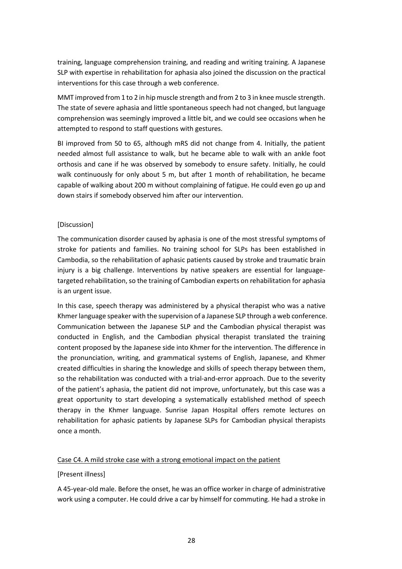training, language comprehension training, and reading and writing training. A Japanese SLP with expertise in rehabilitation for aphasia also joined the discussion on the practical interventions for this case through a web conference.

MMT improved from 1 to 2 in hip muscle strength and from 2 to 3 in knee muscle strength. The state of severe aphasia and little spontaneous speech had not changed, but language comprehension was seemingly improved a little bit, and we could see occasions when he attempted to respond to staff questions with gestures.

BI improved from 50 to 65, although mRS did not change from 4. Initially, the patient needed almost full assistance to walk, but he became able to walk with an ankle foot orthosis and cane if he was observed by somebody to ensure safety. Initially, he could walk continuously for only about 5 m, but after 1 month of rehabilitation, he became capable of walking about 200 m without complaining of fatigue. He could even go up and down stairs if somebody observed him after our intervention.

#### [Discussion]

The communication disorder caused by aphasia is one of the most stressful symptoms of stroke for patients and families. No training school for SLPs has been established in Cambodia, so the rehabilitation of aphasic patients caused by stroke and traumatic brain injury is a big challenge. Interventions by native speakers are essential for languagetargeted rehabilitation, so the training of Cambodian experts on rehabilitation for aphasia is an urgent issue.

In this case, speech therapy was administered by a physical therapist who was a native Khmer language speaker with the supervision of a Japanese SLP through a web conference. Communication between the Japanese SLP and the Cambodian physical therapist was conducted in English, and the Cambodian physical therapist translated the training content proposed by the Japanese side into Khmer for the intervention. The difference in the pronunciation, writing, and grammatical systems of English, Japanese, and Khmer created difficulties in sharing the knowledge and skills of speech therapy between them, so the rehabilitation was conducted with a trial-and-error approach. Due to the severity of the patient's aphasia, the patient did not improve, unfortunately, but this case was a great opportunity to start developing a systematically established method of speech therapy in the Khmer language. Sunrise Japan Hospital offers remote lectures on rehabilitation for aphasic patients by Japanese SLPs for Cambodian physical therapists once a month.

#### Case C4. A mild stroke case with a strong emotional impact on the patient

#### [Present illness]

A 45-year-old male. Before the onset, he was an office worker in charge of administrative work using a computer. He could drive a car by himself for commuting. He had a stroke in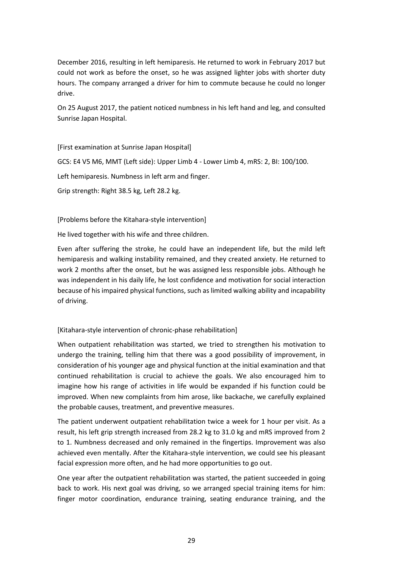December 2016, resulting in left hemiparesis. He returned to work in February 2017 but could not work as before the onset, so he was assigned lighter jobs with shorter duty hours. The company arranged a driver for him to commute because he could no longer drive.

On 25 August 2017, the patient noticed numbness in his left hand and leg, and consulted Sunrise Japan Hospital.

[First examination at Sunrise Japan Hospital] GCS: E4 V5 M6, MMT (Left side): Upper Limb 4 - Lower Limb 4, mRS: 2, BI: 100/100. Left hemiparesis. Numbness in left arm and finger. Grip strength: Right 38.5 kg, Left 28.2 kg.

[Problems before the Kitahara-style intervention]

He lived together with his wife and three children.

Even after suffering the stroke, he could have an independent life, but the mild left hemiparesis and walking instability remained, and they created anxiety. He returned to work 2 months after the onset, but he was assigned less responsible jobs. Although he was independent in his daily life, he lost confidence and motivation for social interaction because of his impaired physical functions, such as limited walking ability and incapability of driving.

#### [Kitahara-style intervention of chronic-phase rehabilitation]

When outpatient rehabilitation was started, we tried to strengthen his motivation to undergo the training, telling him that there was a good possibility of improvement, in consideration of his younger age and physical function at the initial examination and that continued rehabilitation is crucial to achieve the goals. We also encouraged him to imagine how his range of activities in life would be expanded if his function could be improved. When new complaints from him arose, like backache, we carefully explained the probable causes, treatment, and preventive measures.

The patient underwent outpatient rehabilitation twice a week for 1 hour per visit. As a result, his left grip strength increased from 28.2 kg to 31.0 kg and mRS improved from 2 to 1. Numbness decreased and only remained in the fingertips. Improvement was also achieved even mentally. After the Kitahara-style intervention, we could see his pleasant facial expression more often, and he had more opportunities to go out.

One year after the outpatient rehabilitation was started, the patient succeeded in going back to work. His next goal was driving, so we arranged special training items for him: finger motor coordination, endurance training, seating endurance training, and the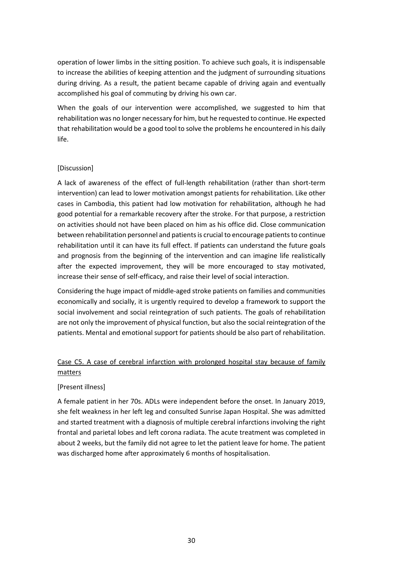operation of lower limbs in the sitting position. To achieve such goals, it is indispensable to increase the abilities of keeping attention and the judgment of surrounding situations during driving. As a result, the patient became capable of driving again and eventually accomplished his goal of commuting by driving his own car.

When the goals of our intervention were accomplished, we suggested to him that rehabilitation was no longer necessary for him, but he requested to continue. He expected that rehabilitation would be a good tool to solve the problems he encountered in his daily life.

#### [Discussion]

A lack of awareness of the effect of full-length rehabilitation (rather than short-term intervention) can lead to lower motivation amongst patients for rehabilitation. Like other cases in Cambodia, this patient had low motivation for rehabilitation, although he had good potential for a remarkable recovery after the stroke. For that purpose, a restriction on activities should not have been placed on him as his office did. Close communication between rehabilitation personnel and patientsis crucial to encourage patients to continue rehabilitation until it can have its full effect. If patients can understand the future goals and prognosis from the beginning of the intervention and can imagine life realistically after the expected improvement, they will be more encouraged to stay motivated, increase their sense of self-efficacy, and raise their level of social interaction.

Considering the huge impact of middle-aged stroke patients on families and communities economically and socially, it is urgently required to develop a framework to support the social involvement and social reintegration of such patients. The goals of rehabilitation are not only the improvement of physical function, but also the social reintegration of the patients. Mental and emotional support for patients should be also part of rehabilitation.

#### Case C5. A case of cerebral infarction with prolonged hospital stay because of family matters

#### [Present illness]

A female patient in her 70s. ADLs were independent before the onset. In January 2019, she felt weakness in her left leg and consulted Sunrise Japan Hospital. She was admitted and started treatment with a diagnosis of multiple cerebral infarctions involving the right frontal and parietal lobes and left corona radiata. The acute treatment was completed in about 2 weeks, but the family did not agree to let the patient leave for home. The patient was discharged home after approximately 6 months of hospitalisation.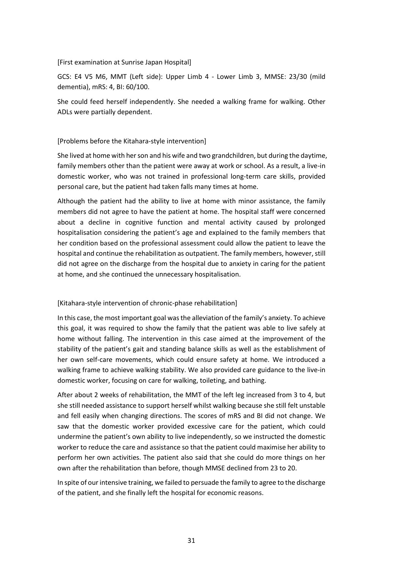#### [First examination at Sunrise Japan Hospital]

GCS: E4 V5 M6, MMT (Left side): Upper Limb 4 - Lower Limb 3, MMSE: 23/30 (mild dementia), mRS: 4, BI: 60/100.

She could feed herself independently. She needed a walking frame for walking. Other ADLs were partially dependent.

#### [Problems before the Kitahara-style intervention]

She lived at home with her son and his wife and two grandchildren, but during the daytime, family members other than the patient were away at work or school. As a result, a live-in domestic worker, who was not trained in professional long-term care skills, provided personal care, but the patient had taken falls many times at home.

Although the patient had the ability to live at home with minor assistance, the family members did not agree to have the patient at home. The hospital staff were concerned about a decline in cognitive function and mental activity caused by prolonged hospitalisation considering the patient's age and explained to the family members that her condition based on the professional assessment could allow the patient to leave the hospital and continue the rehabilitation as outpatient. The family members, however, still did not agree on the discharge from the hospital due to anxiety in caring for the patient at home, and she continued the unnecessary hospitalisation.

#### [Kitahara-style intervention of chronic-phase rehabilitation]

In this case, the most important goal wasthe alleviation of the family's anxiety. To achieve this goal, it was required to show the family that the patient was able to live safely at home without falling. The intervention in this case aimed at the improvement of the stability of the patient's gait and standing balance skills as well as the establishment of her own self-care movements, which could ensure safety at home. We introduced a walking frame to achieve walking stability. We also provided care guidance to the live-in domestic worker, focusing on care for walking, toileting, and bathing.

After about 2 weeks of rehabilitation, the MMT of the left leg increased from 3 to 4, but she still needed assistance to support herself whilst walking because she still felt unstable and fell easily when changing directions. The scores of mRS and BI did not change. We saw that the domestic worker provided excessive care for the patient, which could undermine the patient's own ability to live independently, so we instructed the domestic worker to reduce the care and assistance so that the patient could maximise her ability to perform her own activities. The patient also said that she could do more things on her own after the rehabilitation than before, though MMSE declined from 23 to 20.

In spite of our intensive training, we failed to persuade the family to agree to the discharge of the patient, and she finally left the hospital for economic reasons.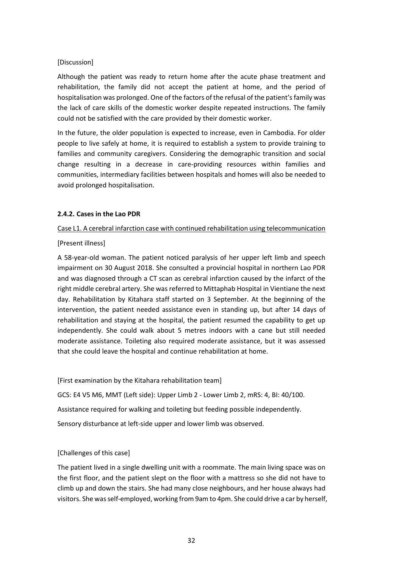#### [Discussion]

Although the patient was ready to return home after the acute phase treatment and rehabilitation, the family did not accept the patient at home, and the period of hospitalisation was prolonged. One of the factors of the refusal of the patient's family was the lack of care skills of the domestic worker despite repeated instructions. The family could not be satisfied with the care provided by their domestic worker.

In the future, the older population is expected to increase, even in Cambodia. For older people to live safely at home, it is required to establish a system to provide training to families and community caregivers. Considering the demographic transition and social change resulting in a decrease in care-providing resources within families and communities, intermediary facilities between hospitals and homes will also be needed to avoid prolonged hospitalisation.

#### **2.4.2. Cases in the Lao PDR**

Case L1. A cerebral infarction case with continued rehabilitation using telecommunication

[Present illness]

A 58-year-old woman. The patient noticed paralysis of her upper left limb and speech impairment on 30 August 2018. She consulted a provincial hospital in northern Lao PDR and was diagnosed through a CT scan as cerebral infarction caused by the infarct of the right middle cerebral artery. She was referred to Mittaphab Hospital in Vientiane the next day. Rehabilitation by Kitahara staff started on 3 September. At the beginning of the intervention, the patient needed assistance even in standing up, but after 14 days of rehabilitation and staying at the hospital, the patient resumed the capability to get up independently. She could walk about 5 metres indoors with a cane but still needed moderate assistance. Toileting also required moderate assistance, but it was assessed that she could leave the hospital and continue rehabilitation at home.

[First examination by the Kitahara rehabilitation team] GCS: E4 V5 M6, MMT (Left side): Upper Limb 2 - Lower Limb 2, mRS: 4, BI: 40/100. Assistance required for walking and toileting but feeding possible independently. Sensory disturbance at left-side upper and lower limb was observed.

#### [Challenges of this case]

The patient lived in a single dwelling unit with a roommate. The main living space was on the first floor, and the patient slept on the floor with a mattress so she did not have to climb up and down the stairs. She had many close neighbours, and her house always had visitors. She wasself-employed, working from 9am to 4pm. She could drive a car by herself,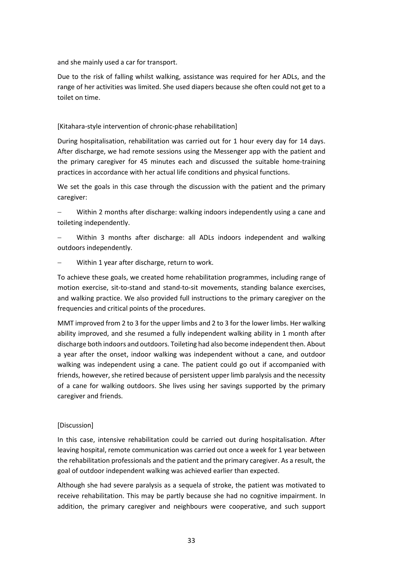and she mainly used a car for transport.

Due to the risk of falling whilst walking, assistance was required for her ADLs, and the range of her activities was limited. She used diapers because she often could not get to a toilet on time.

#### [Kitahara-style intervention of chronic-phase rehabilitation]

During hospitalisation, rehabilitation was carried out for 1 hour every day for 14 days. After discharge, we had remote sessions using the Messenger app with the patient and the primary caregiver for 45 minutes each and discussed the suitable home-training practices in accordance with her actual life conditions and physical functions.

We set the goals in this case through the discussion with the patient and the primary caregiver:

− Within 2 months after discharge: walking indoors independently using a cane and toileting independently.

Within 3 months after discharge: all ADLs indoors independent and walking outdoors independently.

Within 1 year after discharge, return to work.

To achieve these goals, we created home rehabilitation programmes, including range of motion exercise, sit-to-stand and stand-to-sit movements, standing balance exercises, and walking practice. We also provided full instructions to the primary caregiver on the frequencies and critical points of the procedures.

MMT improved from 2 to 3 for the upper limbs and 2 to 3 for the lower limbs. Her walking ability improved, and she resumed a fully independent walking ability in 1 month after discharge both indoors and outdoors. Toileting had also become independentthen. About a year after the onset, indoor walking was independent without a cane, and outdoor walking was independent using a cane. The patient could go out if accompanied with friends, however, she retired because of persistent upper limb paralysis and the necessity of a cane for walking outdoors. She lives using her savings supported by the primary caregiver and friends.

#### [Discussion]

In this case, intensive rehabilitation could be carried out during hospitalisation. After leaving hospital, remote communication was carried out once a week for 1 year between the rehabilitation professionals and the patient and the primary caregiver. As a result, the goal of outdoor independent walking was achieved earlier than expected.

Although she had severe paralysis as a sequela of stroke, the patient was motivated to receive rehabilitation. This may be partly because she had no cognitive impairment. In addition, the primary caregiver and neighbours were cooperative, and such support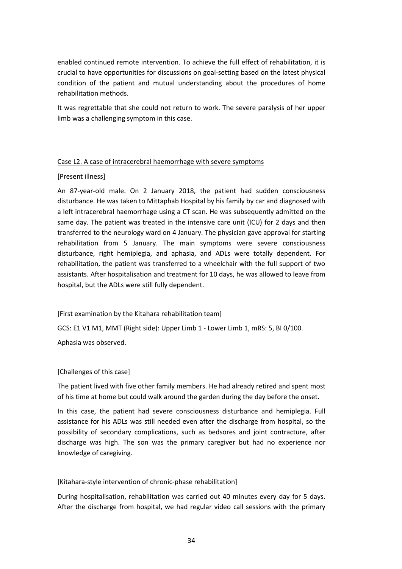enabled continued remote intervention. To achieve the full effect of rehabilitation, it is crucial to have opportunities for discussions on goal-setting based on the latest physical condition of the patient and mutual understanding about the procedures of home rehabilitation methods.

It was regrettable that she could not return to work. The severe paralysis of her upper limb was a challenging symptom in this case.

#### Case L2. A case of intracerebral haemorrhage with severe symptoms

#### [Present illness]

An 87-year-old male. On 2 January 2018, the patient had sudden consciousness disturbance. He was taken to Mittaphab Hospital by his family by car and diagnosed with a left intracerebral haemorrhage using a CT scan. He was subsequently admitted on the same day. The patient was treated in the intensive care unit (ICU) for 2 days and then transferred to the neurology ward on 4 January. The physician gave approval for starting rehabilitation from 5 January. The main symptoms were severe consciousness disturbance, right hemiplegia, and aphasia, and ADLs were totally dependent. For rehabilitation, the patient was transferred to a wheelchair with the full support of two assistants. After hospitalisation and treatment for 10 days, he was allowed to leave from hospital, but the ADLs were still fully dependent.

[First examination by the Kitahara rehabilitation team]

GCS: E1 V1 M1, MMT (Right side): Upper Limb 1 - Lower Limb 1, mRS: 5, BI 0/100.

Aphasia was observed.

#### [Challenges of this case]

The patient lived with five other family members. He had already retired and spent most of his time at home but could walk around the garden during the day before the onset.

In this case, the patient had severe consciousness disturbance and hemiplegia. Full assistance for his ADLs was still needed even after the discharge from hospital, so the possibility of secondary complications, such as bedsores and joint contracture, after discharge was high. The son was the primary caregiver but had no experience nor knowledge of caregiving.

#### [Kitahara-style intervention of chronic-phase rehabilitation]

During hospitalisation, rehabilitation was carried out 40 minutes every day for 5 days. After the discharge from hospital, we had regular video call sessions with the primary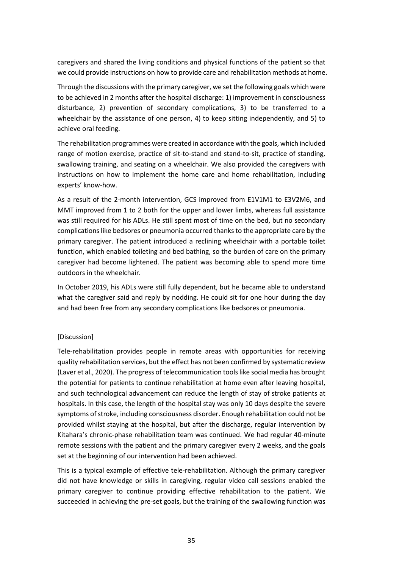caregivers and shared the living conditions and physical functions of the patient so that we could provide instructions on how to provide care and rehabilitation methods at home.

Through the discussions with the primary caregiver, we set the following goals which were to be achieved in 2 months after the hospital discharge: 1) improvement in consciousness disturbance, 2) prevention of secondary complications, 3) to be transferred to a wheelchair by the assistance of one person, 4) to keep sitting independently, and 5) to achieve oral feeding.

The rehabilitation programmes were created in accordance with the goals, which included range of motion exercise, practice of sit-to-stand and stand-to-sit, practice of standing, swallowing training, and seating on a wheelchair. We also provided the caregivers with instructions on how to implement the home care and home rehabilitation, including experts' know-how.

As a result of the 2-month intervention, GCS improved from E1V1M1 to E3V2M6, and MMT improved from 1 to 2 both for the upper and lower limbs, whereas full assistance was still required for his ADLs. He still spent most of time on the bed, but no secondary complications like bedsores or pneumonia occurred thanks to the appropriate care by the primary caregiver. The patient introduced a reclining wheelchair with a portable toilet function, which enabled toileting and bed bathing, so the burden of care on the primary caregiver had become lightened. The patient was becoming able to spend more time outdoors in the wheelchair.

In October 2019, his ADLs were still fully dependent, but he became able to understand what the caregiver said and reply by nodding. He could sit for one hour during the day and had been free from any secondary complications like bedsores or pneumonia.

#### [Discussion]

Tele-rehabilitation provides people in remote areas with opportunities for receiving quality rehabilitation services, but the effect has not been confirmed by systematic review (Laver et al., 2020). The progress of telecommunication tools like social media has brought the potential for patients to continue rehabilitation at home even after leaving hospital, and such technological advancement can reduce the length of stay of stroke patients at hospitals. In this case, the length of the hospital stay was only 10 days despite the severe symptoms of stroke, including consciousness disorder. Enough rehabilitation could not be provided whilst staying at the hospital, but after the discharge, regular intervention by Kitahara's chronic-phase rehabilitation team was continued. We had regular 40-minute remote sessions with the patient and the primary caregiver every 2 weeks, and the goals set at the beginning of our intervention had been achieved.

This is a typical example of effective tele-rehabilitation. Although the primary caregiver did not have knowledge or skills in caregiving, regular video call sessions enabled the primary caregiver to continue providing effective rehabilitation to the patient. We succeeded in achieving the pre-set goals, but the training of the swallowing function was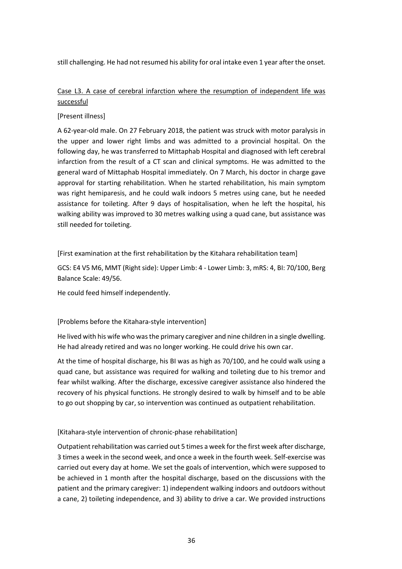still challenging. He had not resumed his ability for oral intake even 1 year after the onset.

#### Case L3. A case of cerebral infarction where the resumption of independent life was successful

#### [Present illness]

A 62-year-old male. On 27 February 2018, the patient was struck with motor paralysis in the upper and lower right limbs and was admitted to a provincial hospital. On the following day, he was transferred to Mittaphab Hospital and diagnosed with left cerebral infarction from the result of a CT scan and clinical symptoms. He was admitted to the general ward of Mittaphab Hospital immediately. On 7 March, his doctor in charge gave approval for starting rehabilitation. When he started rehabilitation, his main symptom was right hemiparesis, and he could walk indoors 5 metres using cane, but he needed assistance for toileting. After 9 days of hospitalisation, when he left the hospital, his walking ability was improved to 30 metres walking using a quad cane, but assistance was still needed for toileting.

[First examination at the first rehabilitation by the Kitahara rehabilitation team]

GCS: E4 V5 M6, MMT (Right side): Upper Limb: 4 - Lower Limb: 3, mRS: 4, BI: 70/100, Berg Balance Scale: 49/56.

He could feed himself independently.

#### [Problems before the Kitahara-style intervention]

He lived with his wife who wasthe primary caregiver and nine children in a single dwelling. He had already retired and was no longer working. He could drive his own car.

At the time of hospital discharge, his BI was as high as 70/100, and he could walk using a quad cane, but assistance was required for walking and toileting due to his tremor and fear whilst walking. After the discharge, excessive caregiver assistance also hindered the recovery of his physical functions. He strongly desired to walk by himself and to be able to go out shopping by car, so intervention was continued as outpatient rehabilitation.

#### [Kitahara-style intervention of chronic-phase rehabilitation]

Outpatient rehabilitation was carried out 5 times a week for the first week after discharge, 3 times a week in the second week, and once a week in the fourth week. Self-exercise was carried out every day at home. We set the goals of intervention, which were supposed to be achieved in 1 month after the hospital discharge, based on the discussions with the patient and the primary caregiver: 1) independent walking indoors and outdoors without a cane, 2) toileting independence, and 3) ability to drive a car. We provided instructions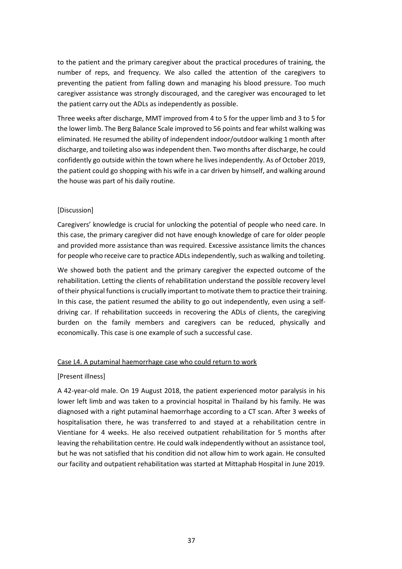to the patient and the primary caregiver about the practical procedures of training, the number of reps, and frequency. We also called the attention of the caregivers to preventing the patient from falling down and managing his blood pressure. Too much caregiver assistance was strongly discouraged, and the caregiver was encouraged to let the patient carry out the ADLs as independently as possible.

Three weeks after discharge, MMT improved from 4 to 5 for the upper limb and 3 to 5 for the lower limb. The Berg Balance Scale improved to 56 points and fear whilst walking was eliminated. He resumed the ability of independent indoor/outdoor walking 1 month after discharge, and toileting also was independent then. Two months after discharge, he could confidently go outside within the town where he lives independently. As of October 2019, the patient could go shopping with his wife in a car driven by himself, and walking around the house was part of his daily routine.

#### [Discussion]

Caregivers' knowledge is crucial for unlocking the potential of people who need care. In this case, the primary caregiver did not have enough knowledge of care for older people and provided more assistance than was required. Excessive assistance limits the chances for people who receive care to practice ADLs independently, such as walking and toileting.

We showed both the patient and the primary caregiver the expected outcome of the rehabilitation. Letting the clients of rehabilitation understand the possible recovery level of their physical functions is crucially important to motivate them to practice their training. In this case, the patient resumed the ability to go out independently, even using a selfdriving car. If rehabilitation succeeds in recovering the ADLs of clients, the caregiving burden on the family members and caregivers can be reduced, physically and economically. This case is one example of such a successful case.

#### Case L4. A putaminal haemorrhage case who could return to work

#### [Present illness]

A 42-year-old male. On 19 August 2018, the patient experienced motor paralysis in his lower left limb and was taken to a provincial hospital in Thailand by his family. He was diagnosed with a right putaminal haemorrhage according to a CT scan. After 3 weeks of hospitalisation there, he was transferred to and stayed at a rehabilitation centre in Vientiane for 4 weeks. He also received outpatient rehabilitation for 5 months after leaving the rehabilitation centre. He could walk independently without an assistance tool, but he was not satisfied that his condition did not allow him to work again. He consulted our facility and outpatient rehabilitation was started at Mittaphab Hospital in June 2019.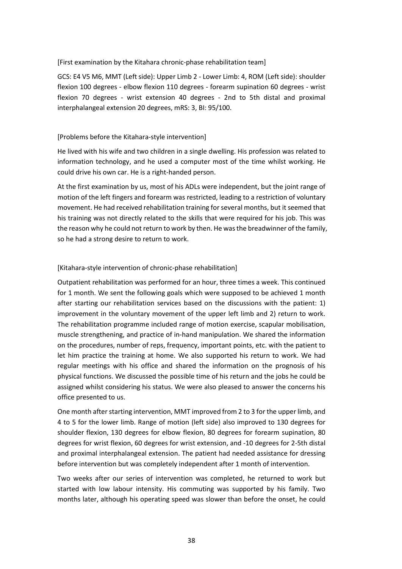#### [First examination by the Kitahara chronic-phase rehabilitation team]

GCS: E4 V5 M6, MMT (Left side): Upper Limb 2 - Lower Limb: 4, ROM (Left side): shoulder flexion 100 degrees - elbow flexion 110 degrees - forearm supination 60 degrees - wrist flexion 70 degrees - wrist extension 40 degrees - 2nd to 5th distal and proximal interphalangeal extension 20 degrees, mRS: 3, BI: 95/100.

#### [Problems before the Kitahara-style intervention]

He lived with his wife and two children in a single dwelling. His profession was related to information technology, and he used a computer most of the time whilst working. He could drive his own car. He is a right-handed person.

At the first examination by us, most of his ADLs were independent, but the joint range of motion of the left fingers and forearm was restricted, leading to a restriction of voluntary movement. He had received rehabilitation training for several months, but it seemed that his training was not directly related to the skills that were required for his job. This was the reason why he could not return to work by then. He was the breadwinner of the family, so he had a strong desire to return to work.

#### [Kitahara-style intervention of chronic-phase rehabilitation]

Outpatient rehabilitation was performed for an hour, three times a week. This continued for 1 month. We sent the following goals which were supposed to be achieved 1 month after starting our rehabilitation services based on the discussions with the patient: 1) improvement in the voluntary movement of the upper left limb and 2) return to work. The rehabilitation programme included range of motion exercise, scapular mobilisation, muscle strengthening, and practice of in-hand manipulation. We shared the information on the procedures, number of reps, frequency, important points, etc. with the patient to let him practice the training at home. We also supported his return to work. We had regular meetings with his office and shared the information on the prognosis of his physical functions. We discussed the possible time of his return and the jobs he could be assigned whilst considering his status. We were also pleased to answer the concerns his office presented to us.

One month after starting intervention, MMT improved from 2 to 3 for the upper limb, and 4 to 5 for the lower limb. Range of motion (left side) also improved to 130 degrees for shoulder flexion, 130 degrees for elbow flexion, 80 degrees for forearm supination, 80 degrees for wrist flexion, 60 degrees for wrist extension, and -10 degrees for 2-5th distal and proximal interphalangeal extension. The patient had needed assistance for dressing before intervention but was completely independent after 1 month of intervention.

Two weeks after our series of intervention was completed, he returned to work but started with low labour intensity. His commuting was supported by his family. Two months later, although his operating speed was slower than before the onset, he could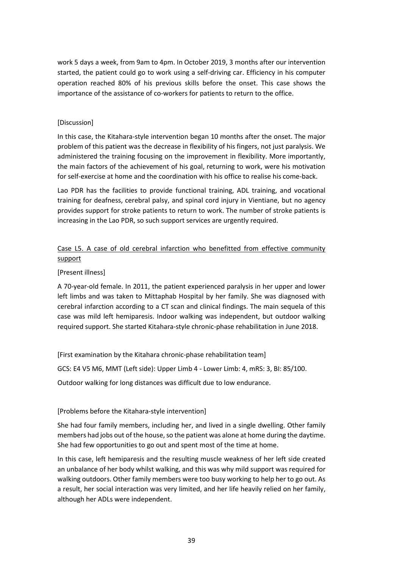work 5 days a week, from 9am to 4pm. In October 2019, 3 months after our intervention started, the patient could go to work using a self-driving car. Efficiency in his computer operation reached 80% of his previous skills before the onset. This case shows the importance of the assistance of co-workers for patients to return to the office.

#### [Discussion]

In this case, the Kitahara-style intervention began 10 months after the onset. The major problem of this patient was the decrease in flexibility of his fingers, not just paralysis. We administered the training focusing on the improvement in flexibility. More importantly, the main factors of the achievement of his goal, returning to work, were his motivation for self-exercise at home and the coordination with his office to realise his come-back.

Lao PDR has the facilities to provide functional training, ADL training, and vocational training for deafness, cerebral palsy, and spinal cord injury in Vientiane, but no agency provides support for stroke patients to return to work. The number of stroke patients is increasing in the Lao PDR, so such support services are urgently required.

#### Case L5. A case of old cerebral infarction who benefitted from effective community support

#### [Present illness]

A 70-year-old female. In 2011, the patient experienced paralysis in her upper and lower left limbs and was taken to Mittaphab Hospital by her family. She was diagnosed with cerebral infarction according to a CT scan and clinical findings. The main sequela of this case was mild left hemiparesis. Indoor walking was independent, but outdoor walking required support. She started Kitahara-style chronic-phase rehabilitation in June 2018.

[First examination by the Kitahara chronic-phase rehabilitation team]

GCS: E4 V5 M6, MMT (Left side): Upper Limb 4 - Lower Limb: 4, mRS: 3, BI: 85/100.

Outdoor walking for long distances was difficult due to low endurance.

#### [Problems before the Kitahara-style intervention]

She had four family members, including her, and lived in a single dwelling. Other family members had jobs out of the house, so the patient was alone at home during the daytime. She had few opportunities to go out and spent most of the time at home.

In this case, left hemiparesis and the resulting muscle weakness of her left side created an unbalance of her body whilst walking, and this was why mild support was required for walking outdoors. Other family members were too busy working to help her to go out. As a result, her social interaction was very limited, and her life heavily relied on her family, although her ADLs were independent.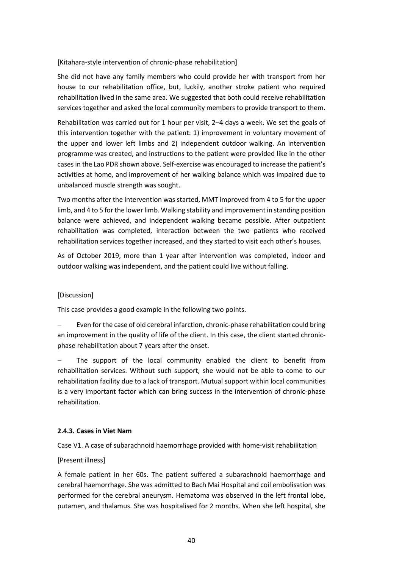#### [Kitahara-style intervention of chronic-phase rehabilitation]

She did not have any family members who could provide her with transport from her house to our rehabilitation office, but, luckily, another stroke patient who required rehabilitation lived in the same area. We suggested that both could receive rehabilitation services together and asked the local community members to provide transport to them.

Rehabilitation was carried out for 1 hour per visit, 2–4 days a week. We set the goals of this intervention together with the patient: 1) improvement in voluntary movement of the upper and lower left limbs and 2) independent outdoor walking. An intervention programme was created, and instructions to the patient were provided like in the other cases in the Lao PDR shown above. Self-exercise was encouraged to increase the patient's activities at home, and improvement of her walking balance which was impaired due to unbalanced muscle strength was sought.

Two months after the intervention was started, MMT improved from 4 to 5 for the upper limb, and 4 to 5 for the lower limb. Walking stability and improvement in standing position balance were achieved, and independent walking became possible. After outpatient rehabilitation was completed, interaction between the two patients who received rehabilitation services together increased, and they started to visit each other's houses.

As of October 2019, more than 1 year after intervention was completed, indoor and outdoor walking was independent, and the patient could live without falling.

#### [Discussion]

This case provides a good example in the following two points.

Even for the case of old cerebral infarction, chronic-phase rehabilitation could bring an improvement in the quality of life of the client. In this case, the client started chronicphase rehabilitation about 7 years after the onset.

The support of the local community enabled the client to benefit from rehabilitation services. Without such support, she would not be able to come to our rehabilitation facility due to a lack of transport. Mutual support within local communities is a very important factor which can bring success in the intervention of chronic-phase rehabilitation.

#### **2.4.3. Cases in Viet Nam**

#### Case V1. A case of subarachnoid haemorrhage provided with home-visit rehabilitation

#### [Present illness]

A female patient in her 60s. The patient suffered a subarachnoid haemorrhage and cerebral haemorrhage. She was admitted to Bach Mai Hospital and coil embolisation was performed for the cerebral aneurysm. Hematoma was observed in the left frontal lobe, putamen, and thalamus. She was hospitalised for 2 months. When she left hospital, she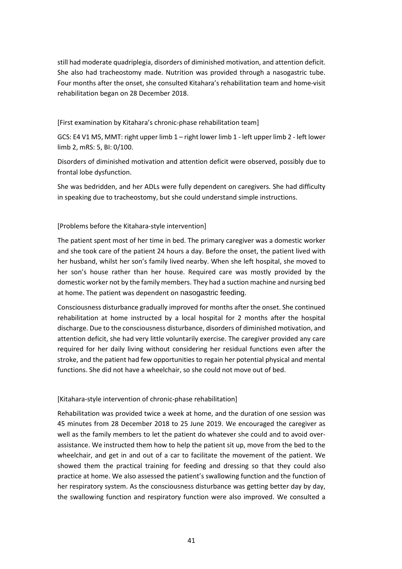still had moderate quadriplegia, disorders of diminished motivation, and attention deficit. She also had tracheostomy made. Nutrition was provided through a nasogastric tube. Four months after the onset, she consulted Kitahara's rehabilitation team and home-visit rehabilitation began on 28 December 2018.

[First examination by Kitahara's chronic-phase rehabilitation team]

GCS: E4 V1 M5, MMT: right upper limb 1 – right lower limb 1 - left upper limb 2 - left lower limb 2, mRS: 5, BI: 0/100.

Disorders of diminished motivation and attention deficit were observed, possibly due to frontal lobe dysfunction.

She was bedridden, and her ADLs were fully dependent on caregivers. She had difficulty in speaking due to tracheostomy, but she could understand simple instructions.

#### [Problems before the Kitahara-style intervention]

The patient spent most of her time in bed. The primary caregiver was a domestic worker and she took care of the patient 24 hours a day. Before the onset, the patient lived with her husband, whilst her son's family lived nearby. When she left hospital, she moved to her son's house rather than her house. Required care was mostly provided by the domestic worker not by the family members. They had a suction machine and nursing bed at home. The patient was dependent on nasogastric feeding.

Consciousness disturbance gradually improved for months after the onset. She continued rehabilitation at home instructed by a local hospital for 2 months after the hospital discharge. Due to the consciousness disturbance, disorders of diminished motivation, and attention deficit, she had very little voluntarily exercise. The caregiver provided any care required for her daily living without considering her residual functions even after the stroke, and the patient had few opportunities to regain her potential physical and mental functions. She did not have a wheelchair, so she could not move out of bed.

#### [Kitahara-style intervention of chronic-phase rehabilitation]

Rehabilitation was provided twice a week at home, and the duration of one session was 45 minutes from 28 December 2018 to 25 June 2019. We encouraged the caregiver as well as the family members to let the patient do whatever she could and to avoid overassistance. We instructed them how to help the patient sit up, move from the bed to the wheelchair, and get in and out of a car to facilitate the movement of the patient. We showed them the practical training for feeding and dressing so that they could also practice at home. We also assessed the patient's swallowing function and the function of her respiratory system. As the consciousness disturbance was getting better day by day, the swallowing function and respiratory function were also improved. We consulted a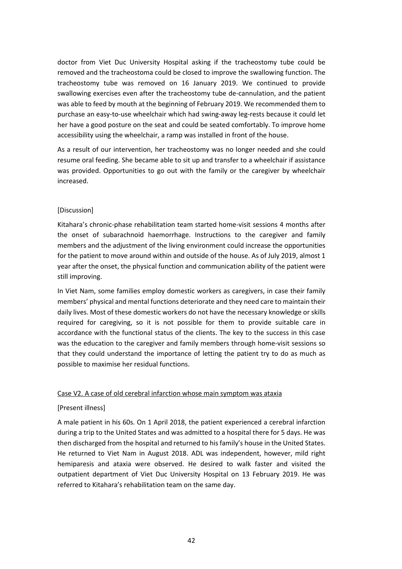doctor from Viet Duc University Hospital asking if the tracheostomy tube could be removed and the tracheostoma could be closed to improve the swallowing function. The tracheostomy tube was removed on 16 January 2019. We continued to provide swallowing exercises even after the tracheostomy tube de-cannulation, and the patient was able to feed by mouth at the beginning of February 2019. We recommended them to purchase an easy-to-use wheelchair which had swing-away leg-rests because it could let her have a good posture on the seat and could be seated comfortably. To improve home accessibility using the wheelchair, a ramp was installed in front of the house.

As a result of our intervention, her tracheostomy was no longer needed and she could resume oral feeding. She became able to sit up and transfer to a wheelchair if assistance was provided. Opportunities to go out with the family or the caregiver by wheelchair increased.

#### [Discussion]

Kitahara's chronic-phase rehabilitation team started home-visit sessions 4 months after the onset of subarachnoid haemorrhage. Instructions to the caregiver and family members and the adjustment of the living environment could increase the opportunities for the patient to move around within and outside of the house. As of July 2019, almost 1 year after the onset, the physical function and communication ability of the patient were still improving.

In Viet Nam, some families employ domestic workers as caregivers, in case their family members' physical and mental functions deteriorate and they need care to maintain their daily lives. Most of these domestic workers do not have the necessary knowledge or skills required for caregiving, so it is not possible for them to provide suitable care in accordance with the functional status of the clients. The key to the success in this case was the education to the caregiver and family members through home-visit sessions so that they could understand the importance of letting the patient try to do as much as possible to maximise her residual functions.

#### Case V2. A case of old cerebral infarction whose main symptom was ataxia

#### [Present illness]

A male patient in his 60s. On 1 April 2018, the patient experienced a cerebral infarction during a trip to the United States and was admitted to a hospital there for 5 days. He was then discharged from the hospital and returned to his family's house in the United States. He returned to Viet Nam in August 2018. ADL was independent, however, mild right hemiparesis and ataxia were observed. He desired to walk faster and visited the outpatient department of Viet Duc University Hospital on 13 February 2019. He was referred to Kitahara's rehabilitation team on the same day.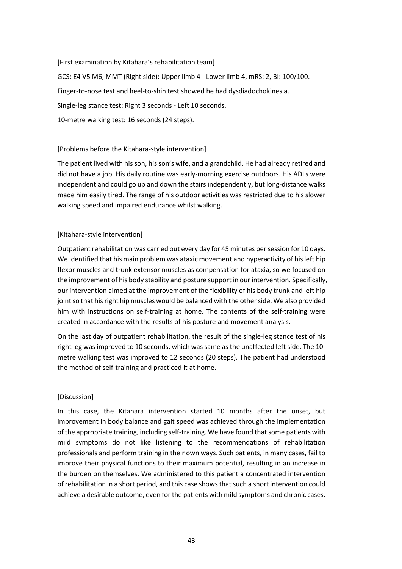[First examination by Kitahara's rehabilitation team] GCS: E4 V5 M6, MMT (Right side): Upper limb 4 - Lower limb 4, mRS: 2, BI: 100/100. Finger-to-nose test and heel-to-shin test showed he had dysdiadochokinesia. Single-leg stance test: Right 3 seconds - Left 10 seconds. 10-metre walking test: 16 seconds (24 steps).

#### [Problems before the Kitahara-style intervention]

The patient lived with his son, his son's wife, and a grandchild. He had already retired and did not have a job. His daily routine was early-morning exercise outdoors. His ADLs were independent and could go up and down the stairs independently, but long-distance walks made him easily tired. The range of his outdoor activities was restricted due to his slower walking speed and impaired endurance whilst walking.

#### [Kitahara-style intervention]

Outpatient rehabilitation was carried out every day for 45 minutes per session for 10 days. We identified that his main problem was ataxic movement and hyperactivity of his left hip flexor muscles and trunk extensor muscles as compensation for ataxia, so we focused on the improvement of his body stability and posture support in our intervention. Specifically, our intervention aimed at the improvement of the flexibility of his body trunk and left hip joint so that his right hip muscles would be balanced with the other side. We also provided him with instructions on self-training at home. The contents of the self-training were created in accordance with the results of his posture and movement analysis.

On the last day of outpatient rehabilitation, the result of the single-leg stance test of his right leg was improved to 10 seconds, which was same as the unaffected left side. The 10 metre walking test was improved to 12 seconds (20 steps). The patient had understood the method of self-training and practiced it at home.

#### [Discussion]

In this case, the Kitahara intervention started 10 months after the onset, but improvement in body balance and gait speed was achieved through the implementation of the appropriate training, including self-training. We have found that some patients with mild symptoms do not like listening to the recommendations of rehabilitation professionals and perform training in their own ways. Such patients, in many cases, fail to improve their physical functions to their maximum potential, resulting in an increase in the burden on themselves. We administered to this patient a concentrated intervention of rehabilitation in a short period, and this case shows that such a short intervention could achieve a desirable outcome, even for the patients with mild symptoms and chronic cases.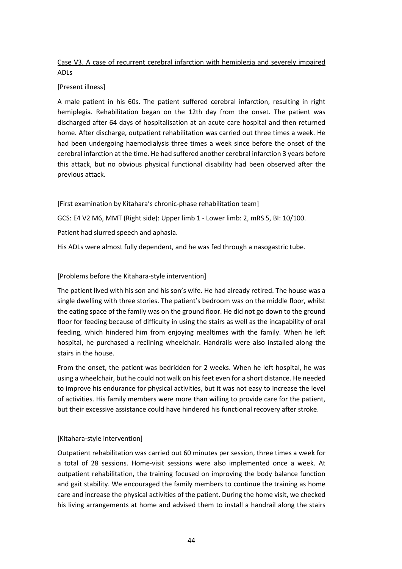#### Case V3. A case of recurrent cerebral infarction with hemiplegia and severely impaired ADLs

#### [Present illness]

A male patient in his 60s. The patient suffered cerebral infarction, resulting in right hemiplegia. Rehabilitation began on the 12th day from the onset. The patient was discharged after 64 days of hospitalisation at an acute care hospital and then returned home. After discharge, outpatient rehabilitation was carried out three times a week. He had been undergoing haemodialysis three times a week since before the onset of the cerebral infarction at the time. He had suffered another cerebral infarction 3 years before this attack, but no obvious physical functional disability had been observed after the previous attack.

[First examination by Kitahara's chronic-phase rehabilitation team]

GCS: E4 V2 M6, MMT (Right side): Upper limb 1 - Lower limb: 2, mRS 5, BI: 10/100.

Patient had slurred speech and aphasia.

His ADLs were almost fully dependent, and he was fed through a nasogastric tube.

#### [Problems before the Kitahara-style intervention]

The patient lived with his son and his son's wife. He had already retired. The house was a single dwelling with three stories. The patient's bedroom was on the middle floor, whilst the eating space of the family was on the ground floor. He did not go down to the ground floor for feeding because of difficulty in using the stairs as well as the incapability of oral feeding, which hindered him from enjoying mealtimes with the family. When he left hospital, he purchased a reclining wheelchair. Handrails were also installed along the stairs in the house.

From the onset, the patient was bedridden for 2 weeks. When he left hospital, he was using a wheelchair, but he could not walk on his feet even for a short distance. He needed to improve his endurance for physical activities, but it was not easy to increase the level of activities. His family members were more than willing to provide care for the patient, but their excessive assistance could have hindered his functional recovery after stroke.

#### [Kitahara-style intervention]

Outpatient rehabilitation was carried out 60 minutes per session, three times a week for a total of 28 sessions. Home-visit sessions were also implemented once a week. At outpatient rehabilitation, the training focused on improving the body balance function and gait stability. We encouraged the family members to continue the training as home care and increase the physical activities of the patient. During the home visit, we checked his living arrangements at home and advised them to install a handrail along the stairs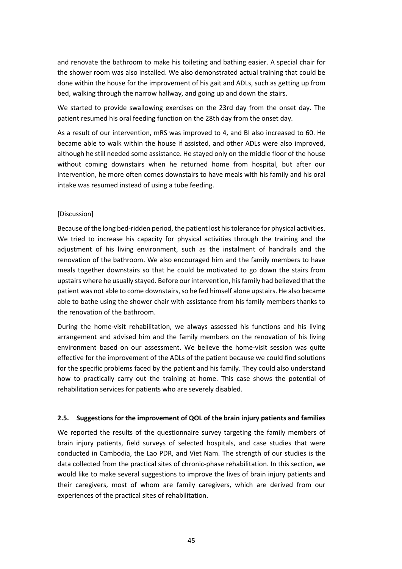and renovate the bathroom to make his toileting and bathing easier. A special chair for the shower room was also installed. We also demonstrated actual training that could be done within the house for the improvement of his gait and ADLs, such as getting up from bed, walking through the narrow hallway, and going up and down the stairs.

We started to provide swallowing exercises on the 23rd day from the onset day. The patient resumed his oral feeding function on the 28th day from the onset day.

As a result of our intervention, mRS was improved to 4, and BI also increased to 60. He became able to walk within the house if assisted, and other ADLs were also improved, although he still needed some assistance. He stayed only on the middle floor of the house without coming downstairs when he returned home from hospital, but after our intervention, he more often comes downstairs to have meals with his family and his oral intake was resumed instead of using a tube feeding.

#### [Discussion]

Because of the long bed-ridden period, the patient lost his tolerance for physical activities. We tried to increase his capacity for physical activities through the training and the adjustment of his living environment, such as the instalment of handrails and the renovation of the bathroom. We also encouraged him and the family members to have meals together downstairs so that he could be motivated to go down the stairs from upstairs where he usually stayed. Before our intervention, his family had believed that the patient was not able to come downstairs, so he fed himself alone upstairs. He also became able to bathe using the shower chair with assistance from his family members thanks to the renovation of the bathroom.

During the home-visit rehabilitation, we always assessed his functions and his living arrangement and advised him and the family members on the renovation of his living environment based on our assessment. We believe the home-visit session was quite effective for the improvement of the ADLs of the patient because we could find solutions for the specific problems faced by the patient and his family. They could also understand how to practically carry out the training at home. This case shows the potential of rehabilitation services for patients who are severely disabled.

#### **2.5. Suggestions for the improvement of QOL of the brain injury patients and families**

We reported the results of the questionnaire survey targeting the family members of brain injury patients, field surveys of selected hospitals, and case studies that were conducted in Cambodia, the Lao PDR, and Viet Nam. The strength of our studies is the data collected from the practical sites of chronic-phase rehabilitation. In this section, we would like to make several suggestions to improve the lives of brain injury patients and their caregivers, most of whom are family caregivers, which are derived from our experiences of the practical sites of rehabilitation.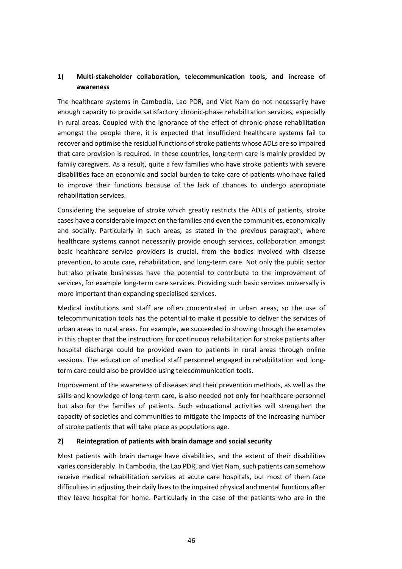#### **1) Multi-stakeholder collaboration, telecommunication tools, and increase of awareness**

The healthcare systems in Cambodia, Lao PDR, and Viet Nam do not necessarily have enough capacity to provide satisfactory chronic-phase rehabilitation services, especially in rural areas. Coupled with the ignorance of the effect of chronic-phase rehabilitation amongst the people there, it is expected that insufficient healthcare systems fail to recover and optimise the residual functions of stroke patients whose ADLs are so impaired that care provision is required. In these countries, long-term care is mainly provided by family caregivers. As a result, quite a few families who have stroke patients with severe disabilities face an economic and social burden to take care of patients who have failed to improve their functions because of the lack of chances to undergo appropriate rehabilitation services.

Considering the sequelae of stroke which greatly restricts the ADLs of patients, stroke cases have a considerable impact on the families and even the communities, economically and socially. Particularly in such areas, as stated in the previous paragraph, where healthcare systems cannot necessarily provide enough services, collaboration amongst basic healthcare service providers is crucial, from the bodies involved with disease prevention, to acute care, rehabilitation, and long-term care. Not only the public sector but also private businesses have the potential to contribute to the improvement of services, for example long-term care services. Providing such basic services universally is more important than expanding specialised services.

Medical institutions and staff are often concentrated in urban areas, so the use of telecommunication tools has the potential to make it possible to deliver the services of urban areas to rural areas. For example, we succeeded in showing through the examples in this chapter that the instructions for continuous rehabilitation for stroke patients after hospital discharge could be provided even to patients in rural areas through online sessions. The education of medical staff personnel engaged in rehabilitation and longterm care could also be provided using telecommunication tools.

Improvement of the awareness of diseases and their prevention methods, as well as the skills and knowledge of long-term care, is also needed not only for healthcare personnel but also for the families of patients. Such educational activities will strengthen the capacity of societies and communities to mitigate the impacts of the increasing number of stroke patients that will take place as populations age.

#### **2) Reintegration of patients with brain damage and social security**

Most patients with brain damage have disabilities, and the extent of their disabilities varies considerably. In Cambodia, the Lao PDR, and Viet Nam, such patients can somehow receive medical rehabilitation services at acute care hospitals, but most of them face difficulties in adjusting their daily lives to the impaired physical and mental functions after they leave hospital for home. Particularly in the case of the patients who are in the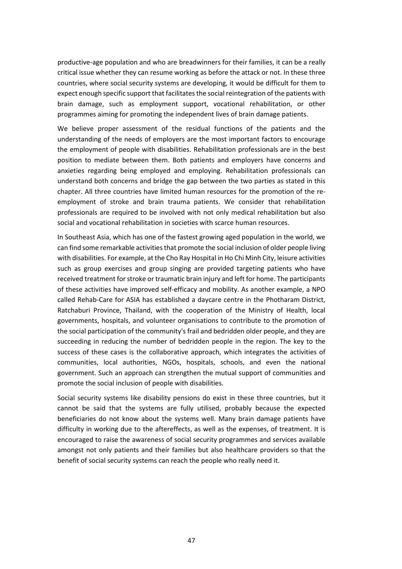productive-age population and who are breadwinners for their families, it can be a really critical issue whether they can resume working as before the attack or not. In these three countries, where social security systems are developing, it would be difficult for them to expect enough specific support that facilitates the social reintegration of the patients with brain damage, such as employment support, vocational rehabilitation, or other programmes aiming for promoting the independent lives of brain damage patients.

We believe proper assessment of the residual functions of the patients and the understanding of the needs of employers are the most important factors to encourage the employment of people with disabilities. Rehabilitation professionals are in the best position to mediate between them. Both patients and employers have concerns and anxieties regarding being employed and employing. Rehabilitation professionals can understand both concerns and bridge the gap between the two parties as stated in this chapter. All three countries have limited human resources for the promotion of the reemployment of stroke and brain trauma patients. We consider that rehabilitation professionals are required to be involved with not only medical rehabilitation but also social and vocational rehabilitation in societies with scarce human resources.

In Southeast Asia, which has one of the fastest growing aged population in the world, we can find some remarkable activities that promote the social inclusion of older people living with disabilities. For example, at the Cho Ray Hospital in Ho Chi Minh City, leisure activities such as group exercises and group singing are provided targeting patients who have received treatment for stroke or traumatic brain injury and left for home. The participants of these activities have improved self-efficacy and mobility. As another example, a NPO called Rehab-Care for ASIA has established a daycare centre in the Photharam District, Ratchaburi Province, Thailand, with the cooperation of the Ministry of Health, local governments, hospitals, and volunteer organisations to contribute to the promotion of the social participation of the community's frail and bedridden older people, and they are succeeding in reducing the number of bedridden people in the region. The key to the success of these cases is the collaborative approach, which integrates the activities of communities, local authorities, NGOs, hospitals, schools, and even the national government. Such an approach can strengthen the mutual support of communities and promote the social inclusion of people with disabilities.

Social security systems like disability pensions do exist in these three countries, but it cannot be said that the systems are fully utilised, probably because the expected beneficiaries do not know about the systems well. Many brain damage patients have difficulty in working due to the aftereffects, as well as the expenses, of treatment. It is encouraged to raise the awareness of social security programmes and services available amongst not only patients and their families but also healthcare providers so that the benefit of social security systems can reach the people who really need it.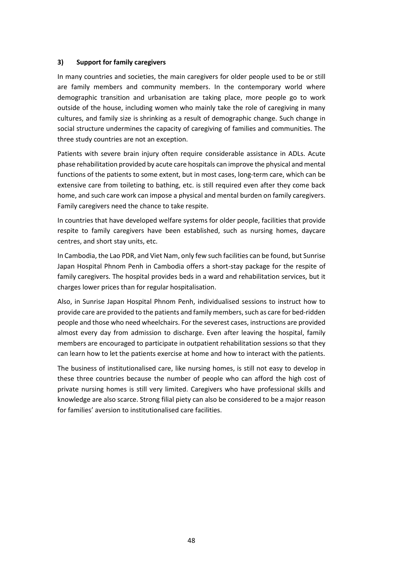#### **3) Support for family caregivers**

In many countries and societies, the main caregivers for older people used to be or still are family members and community members. In the contemporary world where demographic transition and urbanisation are taking place, more people go to work outside of the house, including women who mainly take the role of caregiving in many cultures, and family size is shrinking as a result of demographic change. Such change in social structure undermines the capacity of caregiving of families and communities. The three study countries are not an exception.

Patients with severe brain injury often require considerable assistance in ADLs. Acute phase rehabilitation provided by acute care hospitals can improve the physical and mental functions of the patients to some extent, but in most cases, long-term care, which can be extensive care from toileting to bathing, etc. is still required even after they come back home, and such care work can impose a physical and mental burden on family caregivers. Family caregivers need the chance to take respite.

In countries that have developed welfare systems for older people, facilities that provide respite to family caregivers have been established, such as nursing homes, daycare centres, and short stay units, etc.

In Cambodia, the Lao PDR, and Viet Nam, only few such facilities can be found, but Sunrise Japan Hospital Phnom Penh in Cambodia offers a short-stay package for the respite of family caregivers. The hospital provides beds in a ward and rehabilitation services, but it charges lower prices than for regular hospitalisation.

Also, in Sunrise Japan Hospital Phnom Penh, individualised sessions to instruct how to provide care are provided to the patients and family members, such as care for bed-ridden people and those who need wheelchairs. For the severest cases, instructions are provided almost every day from admission to discharge. Even after leaving the hospital, family members are encouraged to participate in outpatient rehabilitation sessions so that they can learn how to let the patients exercise at home and how to interact with the patients.

The business of institutionalised care, like nursing homes, is still not easy to develop in these three countries because the number of people who can afford the high cost of private nursing homes is still very limited. Caregivers who have professional skills and knowledge are also scarce. Strong filial piety can also be considered to be a major reason for families' aversion to institutionalised care facilities.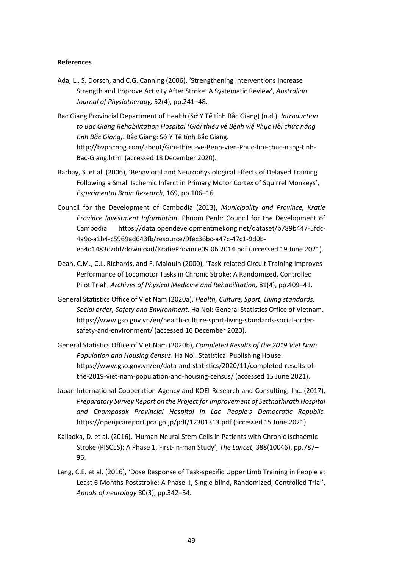#### **References**

- Ada, L., S. Dorsch, and C.G. Canning (2006), 'Strengthening Interventions Increase Strength and Improve Activity After Stroke: A Systematic Review', *Australian Journal of Physiotherapy,* 52(4), pp.241–48.
- Bac Giang Provincial Department of Health (Sớ Y Tế tỉnh Bắc Giang) (n.d.), *Introduction to Bac Giang Rehabilitation Hospital (Giới thiệu về Bệnh việ Phục Hồi chức năng tỉnh Bắc Giang)*. Bắc Giang: Sớ Y Tế tỉnh Bắc Giang. http://bvphcnbg.com/about/Gioi-thieu-ve-Benh-vien-Phuc-hoi-chuc-nang-tinh-Bac-Giang.html (accessed 18 December 2020).
- Barbay, S. et al. (2006), 'Behavioral and Neurophysiological Effects of Delayed Training Following a Small Ischemic Infarct in Primary Motor Cortex of Squirrel Monkeys', *Experimental Brain Research,* 169, pp.106–16.
- Council for the Development of Cambodia (2013), *Municipality and Province, Kratie Province Investment Information*. Phnom Penh: Council for the Development of Cambodia. https://data.opendevelopmentmekong.net/dataset/b789b447-5fdc-4a9c-a1b4-c5969ad643fb/resource/9fec36bc-a47c-47c1-9d0be54d1483c7dd/download/KratieProvince09.06.2014.pdf (accessed 19 June 2021).
- Dean, C.M., C.L. Richards, and F. Malouin (2000), 'Task-related Circuit Training Improves Performance of Locomotor Tasks in Chronic Stroke: A Randomized, Controlled Pilot Trial', *Archives of Physical Medicine and Rehabilitation,* 81(4), pp.409–41.
- General Statistics Office of Viet Nam (2020a), *Health, Culture, Sport, Living standards, Social order, Safety and Environment*. Ha Noi: General Statistics Office of Vietnam. https://www.gso.gov.vn/en/health-culture-sport-living-standards-social-ordersafety-and-environment/ (accessed 16 December 2020).
- General Statistics Office of Viet Nam (2020b), *Completed Results of the 2019 Viet Nam Population and Housing Census*. Ha Noi: Statistical Publishing House. https://www.gso.gov.vn/en/data-and-statistics/2020/11/completed-results-ofthe-2019-viet-nam-population-and-housing-census/ (accessed 15 June 2021).
- Japan International Cooperation Agency and KOEI Research and Consulting, Inc. (2017), *Preparatory Survey Report on the Project for Improvement of Setthathirath Hospital and Champasak Provincial Hospital in Lao People's Democratic Republic.*  https://openjicareport.jica.go.jp/pdf/12301313.pdf (accessed 15 June 2021)
- Kalladka, D. et al. (2016), 'Human Neural Stem Cells in Patients with Chronic Ischaemic Stroke (PISCES): A Phase 1, First-in-man Study', *The Lancet*, 388(10046), pp.787– 96.
- Lang, C.E. et al. (2016), 'Dose Response of Task‐specific Upper Limb Training in People at Least 6 Months Poststroke: A Phase II, Single‐blind, Randomized, Controlled Trial', *Annals of neurology* 80(3), pp.342–54.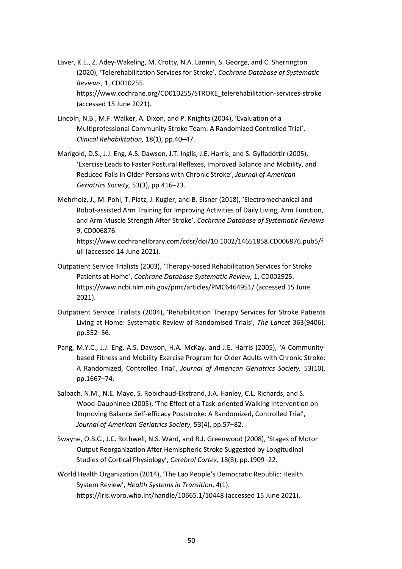- Laver, K.E., Z. Adey-Wakeling, M. Crotty, N.A. Lannin, S. George, and C. Sherrington (2020), 'Telerehabilitation Services for Stroke', *Cochrane Database of Systematic Reviews*, 1, CD010255. https://www.cochrane.org/CD010255/STROKE\_telerehabilitation-services-stroke (accessed 15 June 2021).
- Lincoln, N.B., M.F. Walker, A. Dixon, and P. Knights (2004), 'Evaluation of a Multiprofessional Community Stroke Team: A Randomized Controlled Trial', *Clinical Rehabilitation,* 18(1), pp.40–47.
- Marigold, D.S., J.J. Eng, A.S. Dawson, J.T. Inglis, J.E. Harris, and S. Gylfadóttir (2005), 'Exercise Leads to Faster Postural Reflexes, Improved Balance and Mobility, and Reduced Falls in Older Persons with Chronic Stroke', *Journal of American Geriatrics Society,* 53(3), pp.416–23.
- Mehrholz, J., M. Pohl, T. Platz, J. Kugler, and B. Elsner (2018), 'Electromechanical and Robot-assisted Arm Training for Improving Activities of Daily Living, Arm Function, and Arm Muscle Strength After Stroke', *Cochrane Database of Systematic Reviews* 9, CD006876.

https://www.cochranelibrary.com/cdsr/doi/10.1002/14651858.CD006876.pub5/f ull (accessed 14 June 2021).

- Outpatient Service Trialists (2003), 'Therapy-based Rehabilitation Services for Stroke Patients at Home', *Cochrane Database Systematic Review,* 1, CD002925. https://www.ncbi.nlm.nih.gov/pmc/articles/PMC6464951/ (accessed 15 June 2021).
- Outpatient Service Trialists (2004), 'Rehabilitation Therapy Services for Stroke Patients Living at Home: Systematic Review of Randomised Trials', *The Lancet* 363(9406), pp.352–56.
- Pang, M.Y.C., J.J. Eng, A.S. Dawson, H.A. McKay, and J.E. Harris (2005), 'A Communitybased Fitness and Mobility Exercise Program for Older Adults with Chronic Stroke: A Randomized, Controlled Trial', *Journal of American Geriatrics Society,* 53(10), pp.1667–74.
- Salbach, N.M., N.E. Mayo, S. Robichaud-Ekstrand, J.A. Hanley, C.L. Richards, and S. Wood-Dauphinee (2005), 'The Effect of a Task-oriented Walking Intervention on Improving Balance Self-efficacy Poststroke: A Randomized, Controlled Trial', *Journal of American Geriatrics Society,* 53(4), pp.57–82.
- Swayne, O.B.C., J.C. Rothwell, N.S. Ward, and R.J. Greenwood (2008), 'Stages of Motor Output Reorganization After Hemispheric Stroke Suggested by Longitudinal Studies of Cortical Physiology', *Cerebral Cortex,* 18(8), pp.1909–22.
- World Health Organization (2014), 'The Lao People's Democratic Republic: Health System Review', *Health Systems in Transition*, 4(1). https://iris.wpro.who.int/handle/10665.1/10448 (accessed 15 June 2021).